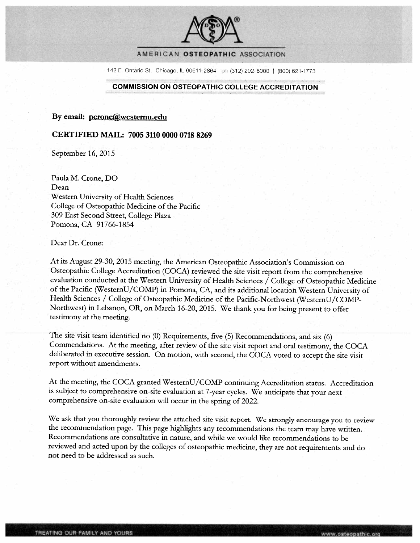

#### AMERICAN OSTEOPATHIC ASSOCIATION

142 E. Ontario St., Chicago, IL 60611-2864 ph (312) 202-8000 | (800) 621-1773

#### **COMMISSION ON OSTEOPATHIC COLLEGE ACCREDITATION**

By email: pcrone@westernu.edu

#### CERTIFIED MAIL: 7005 3110 0000 0718 8269

September 16, 2015

Paula M. Crone, DO Dean Western University of Health Sciences College of Osteopathic Medicine of the Pacific 309 East Second Street, College Plaza Pomona, CA 91766-1854

Dear Dr. Crone:

At its August 29-30, 2015 meeting, the American Osteopathic Association's Commission on Osteopathic College Accreditation (COCA) reviewed the site visit report from the comprehensive evaluation conducted at the Western University of Health Sciences / College of Osteopathic Medicine of the Pacific (WesternU/COMP) in Pomona, CA, and its additional location Western University of Health Sciences / College of Osteopathic Medicine of the Pacific-Northwest (WesternU/COMP-Northwest) in Lebanon, OR, on March 16-20, 2015. We thank you for being present to offer testimony at the meeting.

The site visit team identified no (0) Requirements, five (5) Recommendations, and six (6) Commendations. At the meeting, after review of the site visit report and oral testimony, the COCA deliberated in executive session. On motion, with second, the COCA voted to accept the site visit report without amendments.

At the meeting, the COCA granted WesternU/COMP continuing Accreditation status. Accreditation is subject to comprehensive on-site evaluation at 7-year cycles. We anticipate that your next comprehensive on-site evaluation will occur in the spring of 2022.

We ask that you thoroughly review the attached site visit report. We strongly encourage you to review the recommendation page. This page highlights any recommendations the team may have written. Recommendations are consultative in nature, and while we would like recommendations to be reviewed and acted upon by the colleges of osteopathic medicine, they are not requirements and do not need to be addressed as such.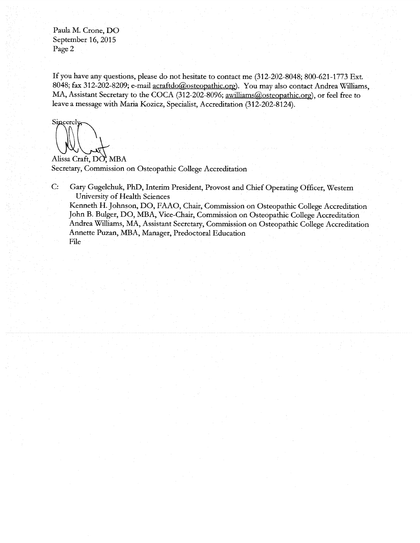Paula M. Crone, DO September 16, 2015 Page 2

If you have any questions, please do not hesitate to contact me (312-202-8048; 800-621-1773 Ext. 8048; fax 312-202-8209; e-mail acraftdo@osteopathic.org). You may also contact Andrea Williams, MA, Assistant Secretary to the COCA (312-202-8096; awilliams@osteopathic.org), or feel free to leave a message with Maria Kozicz, Specialist, Accreditation (312-202-8124).

Sincerely

Alissa Craft, DO, MBA Secretary, Commission on Osteopathic College Accreditation

Gary Gugelchuk, PhD, Interim President, Provost and Chief Operating Officer, Western  $C:$ University of Health Sciences Kenneth H. Johnson, DO, FAAO, Chair, Commission on Osteopathic College Accreditation John B. Bulger, DO, MBA, Vice-Chair, Commission on Osteopathic College Accreditation Andrea Williams, MA, Assistant Secretary, Commission on Osteopathic College Accreditation Annette Puzan, MBA, Manager, Predoctoral Education File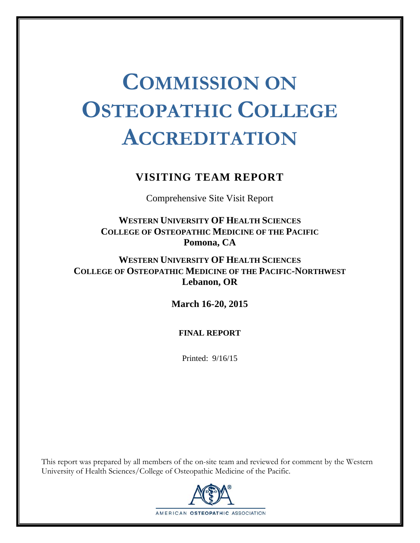# **COMMISSION ON OSTEOPATHIC COLLEGE ACCREDITATION**

## **VISITING TEAM REPORT**

Comprehensive Site Visit Report

**WESTERN UNIVERSITY OF HEALTH SCIENCES COLLEGE OF OSTEOPATHIC MEDICINE OF THE PACIFIC Pomona, CA** 

**WESTERN UNIVERSITY OF HEALTH SCIENCES COLLEGE OF OSTEOPATHIC MEDICINE OF THE PACIFIC-NORTHWEST Lebanon, OR** 

**March 16-20, 2015** 

#### **FINAL REPORT**

Printed: 9/16/15

This report was prepared by all members of the on-site team and reviewed for comment by the Western University of Health Sciences/College of Osteopathic Medicine of the Pacific.

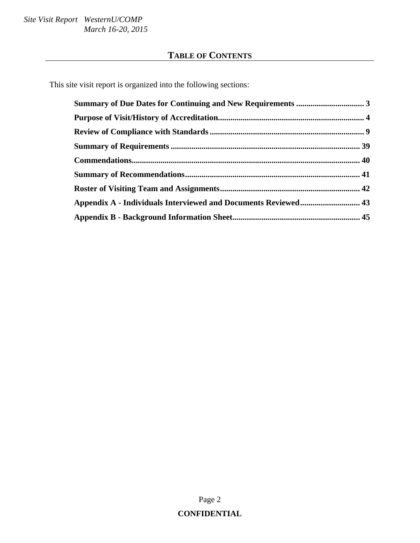## **TABLE OF CONTENTS**

This site visit report is organized into the following sections:

| Appendix A - Individuals Interviewed and Documents Reviewed 43 |  |
|----------------------------------------------------------------|--|
|                                                                |  |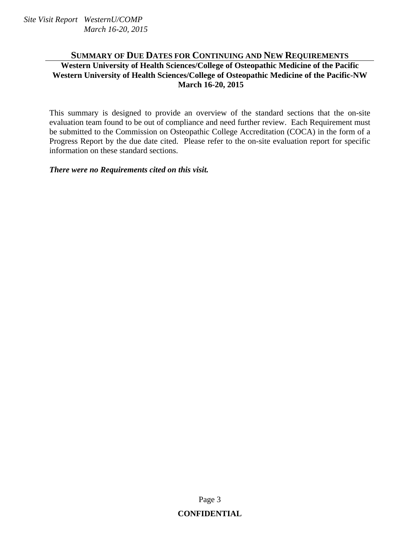### **SUMMARY OF DUE DATES FOR CONTINUING AND NEW REQUIREMENTS Western University of Health Sciences/College of Osteopathic Medicine of the Pacific Western University of Health Sciences/College of Osteopathic Medicine of the Pacific-NW March 16-20, 2015**

This summary is designed to provide an overview of the standard sections that the on-site evaluation team found to be out of compliance and need further review. Each Requirement must be submitted to the Commission on Osteopathic College Accreditation (COCA) in the form of a Progress Report by the due date cited. Please refer to the on-site evaluation report for specific information on these standard sections.

*There were no Requirements cited on this visit.*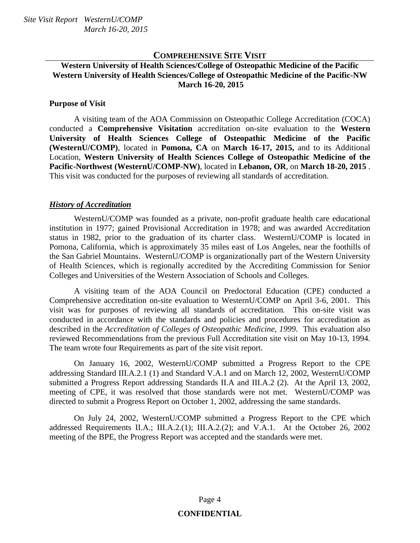#### **COMPREHENSIVE SITE VISIT**

#### **Western University of Health Sciences/College of Osteopathic Medicine of the Pacific Western University of Health Sciences/College of Osteopathic Medicine of the Pacific-NW March 16-20, 2015**

#### **Purpose of Visit**

 A visiting team of the AOA Commission on Osteopathic College Accreditation (COCA) conducted a **Comprehensive Visitation** accreditation on-site evaluation to the **Western University of Health Sciences College of Osteopathic Medicine of the Pacific (WesternU/COMP)**, located in **Pomona, CA** on **March 16-17, 2015,** and to its Additional Location, **Western University of Health Sciences College of Osteopathic Medicine of the Pacific-Northwest (WesternU/COMP-NW)**, located in **Lebanon, OR**, on **March 18-20, 2015** . This visit was conducted for the purposes of reviewing all standards of accreditation.

#### *History of Accreditation*

 WesternU/COMP was founded as a private, non-profit graduate health care educational institution in 1977; gained Provisional Accreditation in 1978; and was awarded Accreditation status in 1982, prior to the graduation of its charter class. WesternU/COMP is located in Pomona, California, which is approximately 35 miles east of Los Angeles, near the foothills of the San Gabriel Mountains. WesternU/COMP is organizationally part of the Western University of Health Sciences, which is regionally accredited by the Accrediting Commission for Senior Colleges and Universities of the Western Association of Schools and Colleges.

 A visiting team of the AOA Council on Predoctoral Education (CPE) conducted a Comprehensive accreditation on-site evaluation to WesternU/COMP on April 3-6, 2001. This visit was for purposes of reviewing all standards of accreditation. This on-site visit was conducted in accordance with the standards and policies and procedures for accreditation as described in the *Accreditation of Colleges of Osteopathic Medicine, 1999*. This evaluation also reviewed Recommendations from the previous Full Accreditation site visit on May 10-13, 1994. The team wrote four Requirements as part of the site visit report.

 On January 16, 2002, WesternU/COMP submitted a Progress Report to the CPE addressing Standard III.A.2.1 (1) and Standard V.A.1 and on March 12, 2002, WesternU/COMP submitted a Progress Report addressing Standards II.A and III.A.2 (2). At the April 13, 2002, meeting of CPE, it was resolved that those standards were not met. WesternU/COMP was directed to submit a Progress Report on October 1, 2002, addressing the same standards.

 On July 24, 2002, WesternU/COMP submitted a Progress Report to the CPE which addressed Requirements II.A.; III.A.2.(1); III.A.2.(2); and V.A.1. At the October 26, 2002 meeting of the BPE, the Progress Report was accepted and the standards were met.

## Page 4 **CONFIDENTIAL**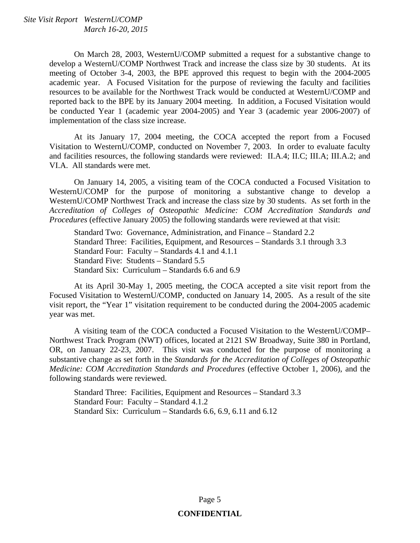On March 28, 2003, WesternU/COMP submitted a request for a substantive change to develop a WesternU/COMP Northwest Track and increase the class size by 30 students. At its meeting of October 3-4, 2003, the BPE approved this request to begin with the 2004-2005 academic year. A Focused Visitation for the purpose of reviewing the faculty and facilities resources to be available for the Northwest Track would be conducted at WesternU/COMP and reported back to the BPE by its January 2004 meeting. In addition, a Focused Visitation would be conducted Year 1 (academic year 2004-2005) and Year 3 (academic year 2006-2007) of implementation of the class size increase.

 At its January 17, 2004 meeting, the COCA accepted the report from a Focused Visitation to WesternU/COMP, conducted on November 7, 2003. In order to evaluate faculty and facilities resources, the following standards were reviewed: II.A.4; II.C; III.A; III.A.2; and VI.A. All standards were met.

 On January 14, 2005, a visiting team of the COCA conducted a Focused Visitation to WesternU/COMP for the purpose of monitoring a substantive change to develop a WesternU/COMP Northwest Track and increase the class size by 30 students. As set forth in the *Accreditation of Colleges of Osteopathic Medicine: COM Accreditation Standards and Procedures* (effective January 2005) the following standards were reviewed at that visit:

 Standard Two: Governance, Administration, and Finance – Standard 2.2 Standard Three: Facilities, Equipment, and Resources – Standards 3.1 through 3.3 Standard Four: Faculty – Standards 4.1 and 4.1.1 Standard Five: Students – Standard 5.5 Standard Six: Curriculum – Standards 6.6 and 6.9

 At its April 30-May 1, 2005 meeting, the COCA accepted a site visit report from the Focused Visitation to WesternU/COMP, conducted on January 14, 2005. As a result of the site visit report, the "Year 1" visitation requirement to be conducted during the 2004-2005 academic year was met.

 A visiting team of the COCA conducted a Focused Visitation to the WesternU/COMP– Northwest Track Program (NWT) offices, located at 2121 SW Broadway, Suite 380 in Portland, OR, on January 22-23, 2007. This visit was conducted for the purpose of monitoring a substantive change as set forth in the *Standards for the Accreditation of Colleges of Osteopathic Medicine: COM Accreditation Standards and Procedures* (effective October 1, 2006), and the following standards were reviewed.

Standard Three: Facilities, Equipment and Resources – Standard 3.3 Standard Four: Faculty – Standard 4.1.2 Standard Six: Curriculum – Standards 6.6, 6.9, 6.11 and 6.12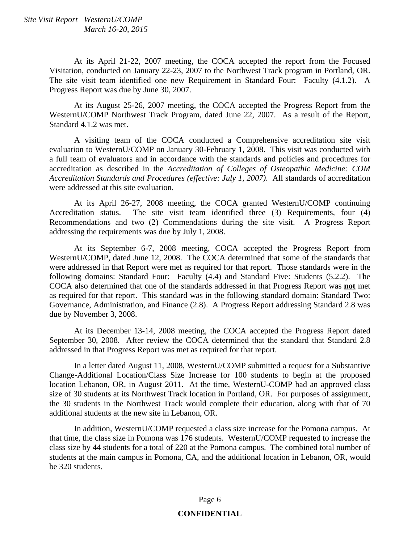At its April 21-22, 2007 meeting, the COCA accepted the report from the Focused Visitation, conducted on January 22-23, 2007 to the Northwest Track program in Portland, OR. The site visit team identified one new Requirement in Standard Four: Faculty (4.1.2). A Progress Report was due by June 30, 2007.

 At its August 25-26, 2007 meeting, the COCA accepted the Progress Report from the WesternU/COMP Northwest Track Program, dated June 22, 2007. As a result of the Report, Standard 4.1.2 was met.

 A visiting team of the COCA conducted a Comprehensive accreditation site visit evaluation to WesternU/COMP on January 30-February 1, 2008. This visit was conducted with a full team of evaluators and in accordance with the standards and policies and procedures for accreditation as described in the *Accreditation of Colleges of Osteopathic Medicine: COM Accreditation Standards and Procedures (effective: July 1, 2007)*. All standards of accreditation were addressed at this site evaluation.

 At its April 26-27, 2008 meeting, the COCA granted WesternU/COMP continuing Accreditation status. The site visit team identified three (3) Requirements, four (4) Recommendations and two (2) Commendations during the site visit. A Progress Report addressing the requirements was due by July 1, 2008.

At its September 6-7, 2008 meeting, COCA accepted the Progress Report from WesternU/COMP, dated June 12, 2008. The COCA determined that some of the standards that were addressed in that Report were met as required for that report. Those standards were in the following domains: Standard Four: Faculty (4.4) and Standard Five: Students (5.2.2). The COCA also determined that one of the standards addressed in that Progress Report was **not** met as required for that report. This standard was in the following standard domain: Standard Two: Governance, Administration, and Finance (2.8). A Progress Report addressing Standard 2.8 was due by November 3, 2008.

 At its December 13-14, 2008 meeting, the COCA accepted the Progress Report dated September 30, 2008. After review the COCA determined that the standard that Standard 2.8 addressed in that Progress Report was met as required for that report.

 In a letter dated August 11, 2008, WesternU/COMP submitted a request for a Substantive Change-Additional Location/Class Size Increase for 100 students to begin at the proposed location Lebanon, OR, in August 2011. At the time, WesternU-COMP had an approved class size of 30 students at its Northwest Track location in Portland, OR. For purposes of assignment, the 30 students in the Northwest Track would complete their education, along with that of 70 additional students at the new site in Lebanon, OR.

 In addition, WesternU/COMP requested a class size increase for the Pomona campus. At that time, the class size in Pomona was 176 students. WesternU/COMP requested to increase the class size by 44 students for a total of 220 at the Pomona campus. The combined total number of students at the main campus in Pomona, CA, and the additional location in Lebanon, OR, would be 320 students.

## Page 6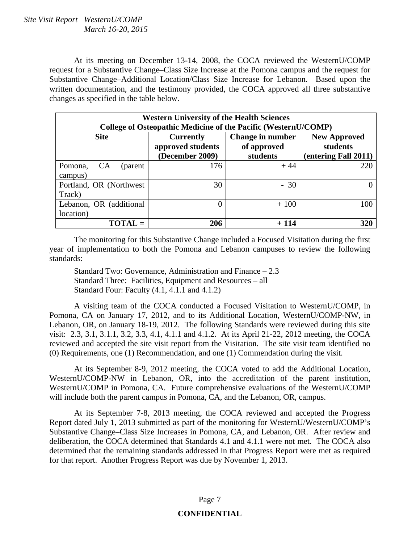At its meeting on December 13-14, 2008, the COCA reviewed the WesternU/COMP request for a Substantive Change–Class Size Increase at the Pomona campus and the request for Substantive Change–Additional Location/Class Size Increase for Lebanon. Based upon the written documentation, and the testimony provided, the COCA approved all three substantive changes as specified in the table below.

| <b>Western University of the Health Sciences</b><br>College of Osteopathic Medicine of the Pacific (WesternU/COMP) |                                                                          |                   |                                 |  |  |
|--------------------------------------------------------------------------------------------------------------------|--------------------------------------------------------------------------|-------------------|---------------------------------|--|--|
| <b>Site</b>                                                                                                        | Change in number<br><b>Currently</b><br>approved students<br>of approved |                   | <b>New Approved</b><br>students |  |  |
| <b>CA</b><br>Pomona,<br>(parent<br>campus)                                                                         | (December 2009)<br>176                                                   | students<br>$+44$ | (entering Fall 2011)<br>220     |  |  |
| Portland, OR (Northwest<br>Track)                                                                                  | 30                                                                       | $-30$             |                                 |  |  |
| Lebanon, OR (additional<br>location)                                                                               | 0                                                                        | $+100$            | 100                             |  |  |
| $\textbf{TOTAL} =$                                                                                                 | 206                                                                      | + 114             | 320                             |  |  |

 The monitoring for this Substantive Change included a Focused Visitation during the first year of implementation to both the Pomona and Lebanon campuses to review the following standards:

 Standard Two: Governance, Administration and Finance – 2.3 Standard Three: Facilities, Equipment and Resources – all Standard Four: Faculty (4.1, 4.1.1 and 4.1.2)

 A visiting team of the COCA conducted a Focused Visitation to WesternU/COMP, in Pomona, CA on January 17, 2012, and to its Additional Location, WesternU/COMP-NW, in Lebanon, OR, on January 18-19, 2012. The following Standards were reviewed during this site visit: 2.3, 3.1, 3.1.1, 3.2, 3.3, 4.1, 4.1.1 and 4.1.2. At its April 21-22, 2012 meeting, the COCA reviewed and accepted the site visit report from the Visitation. The site visit team identified no (0) Requirements, one (1) Recommendation, and one (1) Commendation during the visit.

 At its September 8-9, 2012 meeting, the COCA voted to add the Additional Location, WesternU/COMP-NW in Lebanon, OR, into the accreditation of the parent institution, WesternU/COMP in Pomona, CA. Future comprehensive evaluations of the WesternU/COMP will include both the parent campus in Pomona, CA, and the Lebanon, OR, campus.

 At its September 7-8, 2013 meeting, the COCA reviewed and accepted the Progress Report dated July 1, 2013 submitted as part of the monitoring for WesternU/WesternU/COMP's Substantive Change–Class Size Increases in Pomona, CA, and Lebanon, OR. After review and deliberation, the COCA determined that Standards 4.1 and 4.1.1 were not met.The COCA also determined that the remaining standards addressed in that Progress Report were met as required for that report. Another Progress Report was due by November 1, 2013.

## Page 7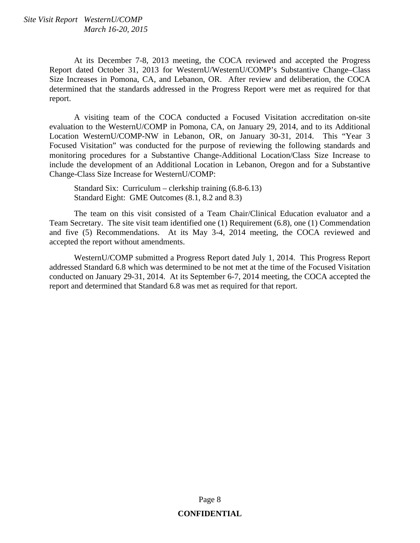At its December 7-8, 2013 meeting, the COCA reviewed and accepted the Progress Report dated October 31, 2013 for WesternU/WesternU/COMP's Substantive Change–Class Size Increases in Pomona, CA, and Lebanon, OR. After review and deliberation, the COCA determined that the standards addressed in the Progress Report were met as required for that report.

 A visiting team of the COCA conducted a Focused Visitation accreditation on-site evaluation to the WesternU/COMP in Pomona, CA, on January 29, 2014, and to its Additional Location WesternU/COMP-NW in Lebanon, OR, on January 30-31, 2014. This "Year 3 Focused Visitation" was conducted for the purpose of reviewing the following standards and monitoring procedures for a Substantive Change-Additional Location/Class Size Increase to include the development of an Additional Location in Lebanon, Oregon and for a Substantive Change-Class Size Increase for WesternU/COMP:

 Standard Six: Curriculum – clerkship training (6.8-6.13) Standard Eight: GME Outcomes (8.1, 8.2 and 8.3)

 The team on this visit consisted of a Team Chair/Clinical Education evaluator and a Team Secretary. The site visit team identified one (1) Requirement (6.8), one (1) Commendation and five (5) Recommendations. At its May 3-4, 2014 meeting, the COCA reviewed and accepted the report without amendments.

WesternU/COMP submitted a Progress Report dated July 1, 2014. This Progress Report addressed Standard 6.8 which was determined to be not met at the time of the Focused Visitation conducted on January 29-31, 2014. At its September 6-7, 2014 meeting, the COCA accepted the report and determined that Standard 6.8 was met as required for that report.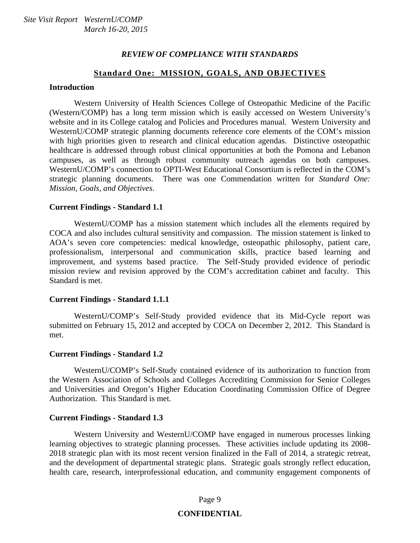#### *REVIEW OF COMPLIANCE WITH STANDARDS*

#### **Standard One: MISSION, GOALS, AND OBJECTIVES**

#### **Introduction**

 Western University of Health Sciences College of Osteopathic Medicine of the Pacific (Western/COMP) has a long term mission which is easily accessed on Western University's website and in its College catalog and Policies and Procedures manual. Western University and WesternU/COMP strategic planning documents reference core elements of the COM's mission with high priorities given to research and clinical education agendas. Distinctive osteopathic healthcare is addressed through robust clinical opportunities at both the Pomona and Lebanon campuses, as well as through robust community outreach agendas on both campuses. WesternU/COMP's connection to OPTI-West Educational Consortium is reflected in the COM's strategic planning documents. There was one Commendation written for *Standard One: Mission, Goals, and Objectives*.

#### **Current Findings - Standard 1.1**

 WesternU/COMP has a mission statement which includes all the elements required by COCA and also includes cultural sensitivity and compassion. The mission statement is linked to AOA's seven core competencies: medical knowledge, osteopathic philosophy, patient care, professionalism, interpersonal and communication skills, practice based learning and improvement, and systems based practice. The Self-Study provided evidence of periodic mission review and revision approved by the COM's accreditation cabinet and faculty. This Standard is met.

#### **Current Findings - Standard 1.1.1**

 WesternU/COMP's Self-Study provided evidence that its Mid-Cycle report was submitted on February 15, 2012 and accepted by COCA on December 2, 2012. This Standard is met.

#### **Current Findings - Standard 1.2**

 WesternU/COMP's Self-Study contained evidence of its authorization to function from the Western Association of Schools and Colleges Accrediting Commission for Senior Colleges and Universities and Oregon's Higher Education Coordinating Commission Office of Degree Authorization. This Standard is met.

#### **Current Findings - Standard 1.3**

 Western University and WesternU/COMP have engaged in numerous processes linking learning objectives to strategic planning processes. These activities include updating its 2008- 2018 strategic plan with its most recent version finalized in the Fall of 2014, a strategic retreat, and the development of departmental strategic plans. Strategic goals strongly reflect education, health care, research, interprofessional education, and community engagement components of

#### Page 9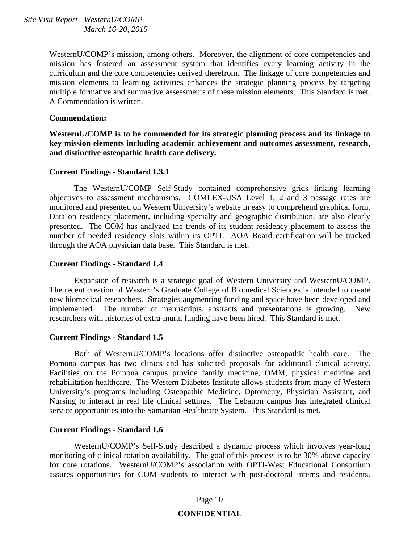WesternU/COMP's mission, among others. Moreover, the alignment of core competencies and mission has fostered an assessment system that identifies every learning activity in the curriculum and the core competencies derived therefrom. The linkage of core competencies and mission elements to learning activities enhances the strategic planning process by targeting multiple formative and summative assessments of these mission elements. This Standard is met. A Commendation is written.

#### **Commendation:**

**WesternU/COMP is to be commended for its strategic planning process and its linkage to key mission elements including academic achievement and outcomes assessment, research, and distinctive osteopathic health care delivery.** 

#### **Current Findings - Standard 1.3.1**

 The WesternU/COMP Self-Study contained comprehensive grids linking learning objectives to assessment mechanisms. COMLEX-USA Level 1, 2 and 3 passage rates are monitored and presented on Western University's website in easy to comprehend graphical form. Data on residency placement, including specialty and geographic distribution, are also clearly presented. The COM has analyzed the trends of its student residency placement to assess the number of needed residency slots within its OPTI. AOA Board certification will be tracked through the AOA physician data base. This Standard is met.

#### **Current Findings - Standard 1.4**

 Expansion of research is a strategic goal of Western University and WesternU/COMP. The recent creation of Western's Graduate College of Biomedical Sciences is intended to create new biomedical researchers. Strategies augmenting funding and space have been developed and implemented. The number of manuscripts, abstracts and presentations is growing. New researchers with histories of extra-mural funding have been hired. This Standard is met.

#### **Current Findings - Standard 1.5**

 Both of WesternU/COMP's locations offer distinctive osteopathic health care. The Pomona campus has two clinics and has solicited proposals for additional clinical activity. Facilities on the Pomona campus provide family medicine, OMM, physical medicine and rehabilitation healthcare. The Western Diabetes Institute allows students from many of Western University's programs including Osteopathic Medicine, Optometry, Physician Assistant, and Nursing to interact in real life clinical settings. The Lebanon campus has integrated clinical service opportunities into the Samaritan Healthcare System. This Standard is met.

#### **Current Findings - Standard 1.6**

 WesternU/COMP's Self-Study described a dynamic process which involves year-long monitoring of clinical rotation availability. The goal of this process is to be 30% above capacity for core rotations. WesternU/COMP's association with OPTI-West Educational Consortium assures opportunities for COM students to interact with post-doctoral interns and residents.

#### Page 10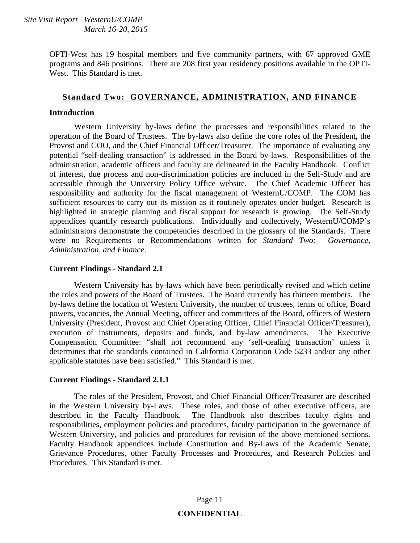OPTI-West has 19 hospital members and five community partners, with 67 approved GME programs and 846 positions. There are 208 first year residency positions available in the OPTI-West. This Standard is met.

#### **Standard Two: GOVERNANCE, ADMINISTRATION, AND FINANCE**

#### **Introduction**

 Western University by-laws define the processes and responsibilities related to the operation of the Board of Trustees. The by-laws also define the core roles of the President, the Provost and COO, and the Chief Financial Officer/Treasurer. The importance of evaluating any potential "self-dealing transaction" is addressed in the Board by-laws. Responsibilities of the administration, academic officers and faculty are delineated in the Faculty Handbook. Conflict of interest, due process and non-discrimination policies are included in the Self-Study and are accessible through the University Policy Office website. The Chief Academic Officer has responsibility and authority for the fiscal management of WesternU/COMP. The COM has sufficient resources to carry out its mission as it routinely operates under budget. Research is highlighted in strategic planning and fiscal support for research is growing. The Self-Study appendices quantify research publications. Individually and collectively, WesternU/COMP's administrators demonstrate the competencies described in the glossary of the Standards. There were no Requirements or Recommendations written for *Standard Two: Governance, Administration, and Finance*.

#### **Current Findings - Standard 2.1**

 Western University has by-laws which have been periodically revised and which define the roles and powers of the Board of Trustees. The Board currently has thirteen members. The by-laws define the location of Western University, the number of trustees, terms of office, Board powers, vacancies, the Annual Meeting, officer and committees of the Board, officers of Western University (President, Provost and Chief Operating Officer, Chief Financial Officer/Treasurer), execution of instruments, deposits and funds, and by-law amendments. The Executive Compensation Committee: "shall not recommend any 'self-dealing transaction' unless it determines that the standards contained in California Corporation Code 5233 and/or any other applicable statutes have been satisfied." This Standard is met.

#### **Current Findings - Standard 2.1.1**

 The roles of the President, Provost, and Chief Financial Officer/Treasurer are described in the Western University by-Laws. These roles, and those of other executive officers, are described in the Faculty Handbook. The Handbook also describes faculty rights and responsibilities, employment policies and procedures, faculty participation in the governance of Western University, and policies and procedures for revision of the above mentioned sections. Faculty Handbook appendices include Constitution and By-Laws of the Academic Senate, Grievance Procedures, other Faculty Processes and Procedures, and Research Policies and Procedures. This Standard is met.

## Page 11 **CONFIDENTIAL**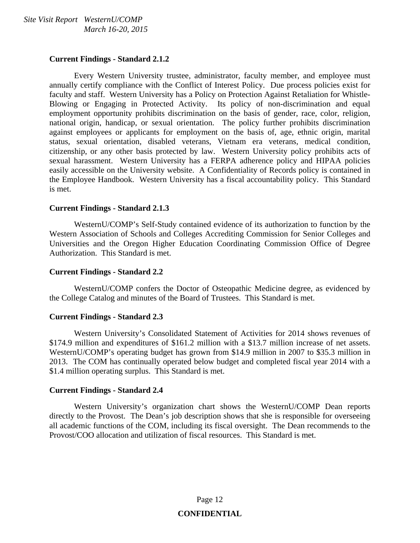#### **Current Findings - Standard 2.1.2**

 Every Western University trustee, administrator, faculty member, and employee must annually certify compliance with the Conflict of Interest Policy. Due process policies exist for faculty and staff. Western University has a Policy on Protection Against Retaliation for Whistle-Blowing or Engaging in Protected Activity. Its policy of non-discrimination and equal employment opportunity prohibits discrimination on the basis of gender, race, color, religion, national origin, handicap, or sexual orientation. The policy further prohibits discrimination against employees or applicants for employment on the basis of, age, ethnic origin, marital status, sexual orientation, disabled veterans, Vietnam era veterans, medical condition, citizenship, or any other basis protected by law. Western University policy prohibits acts of sexual harassment. Western University has a FERPA adherence policy and HIPAA policies easily accessible on the University website. A Confidentiality of Records policy is contained in the Employee Handbook. Western University has a fiscal accountability policy. This Standard is met.

#### **Current Findings - Standard 2.1.3**

 WesternU/COMP's Self-Study contained evidence of its authorization to function by the Western Association of Schools and Colleges Accrediting Commission for Senior Colleges and Universities and the Oregon Higher Education Coordinating Commission Office of Degree Authorization. This Standard is met.

#### **Current Findings - Standard 2.2**

 WesternU/COMP confers the Doctor of Osteopathic Medicine degree, as evidenced by the College Catalog and minutes of the Board of Trustees. This Standard is met.

#### **Current Findings - Standard 2.3**

 Western University's Consolidated Statement of Activities for 2014 shows revenues of \$174.9 million and expenditures of \$161.2 million with a \$13.7 million increase of net assets. WesternU/COMP's operating budget has grown from \$14.9 million in 2007 to \$35.3 million in 2013. The COM has continually operated below budget and completed fiscal year 2014 with a \$1.4 million operating surplus. This Standard is met.

#### **Current Findings - Standard 2.4**

 Western University's organization chart shows the WesternU/COMP Dean reports directly to the Provost. The Dean's job description shows that she is responsible for overseeing all academic functions of the COM, including its fiscal oversight. The Dean recommends to the Provost/COO allocation and utilization of fiscal resources. This Standard is met.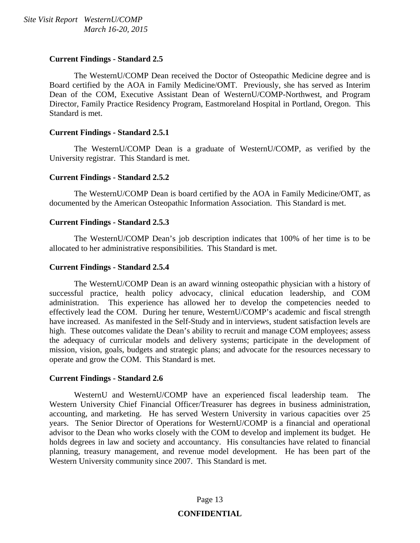#### **Current Findings - Standard 2.5**

 The WesternU/COMP Dean received the Doctor of Osteopathic Medicine degree and is Board certified by the AOA in Family Medicine/OMT. Previously, she has served as Interim Dean of the COM, Executive Assistant Dean of WesternU/COMP-Northwest, and Program Director, Family Practice Residency Program, Eastmoreland Hospital in Portland, Oregon. This Standard is met.

#### **Current Findings - Standard 2.5.1**

 The WesternU/COMP Dean is a graduate of WesternU/COMP, as verified by the University registrar. This Standard is met.

#### **Current Findings - Standard 2.5.2**

 The WesternU/COMP Dean is board certified by the AOA in Family Medicine/OMT, as documented by the American Osteopathic Information Association. This Standard is met.

#### **Current Findings - Standard 2.5.3**

 The WesternU/COMP Dean's job description indicates that 100% of her time is to be allocated to her administrative responsibilities. This Standard is met.

#### **Current Findings - Standard 2.5.4**

 The WesternU/COMP Dean is an award winning osteopathic physician with a history of successful practice, health policy advocacy, clinical education leadership, and COM administration. This experience has allowed her to develop the competencies needed to effectively lead the COM. During her tenure, WesternU/COMP's academic and fiscal strength have increased. As manifested in the Self-Study and in interviews, student satisfaction levels are high. These outcomes validate the Dean's ability to recruit and manage COM employees; assess the adequacy of curricular models and delivery systems; participate in the development of mission, vision, goals, budgets and strategic plans; and advocate for the resources necessary to operate and grow the COM. This Standard is met.

#### **Current Findings - Standard 2.6**

 WesternU and WesternU/COMP have an experienced fiscal leadership team. The Western University Chief Financial Officer/Treasurer has degrees in business administration, accounting, and marketing. He has served Western University in various capacities over 25 years. The Senior Director of Operations for WesternU/COMP is a financial and operational advisor to the Dean who works closely with the COM to develop and implement its budget. He holds degrees in law and society and accountancy. His consultancies have related to financial planning, treasury management, and revenue model development. He has been part of the Western University community since 2007. This Standard is met.

## Page 13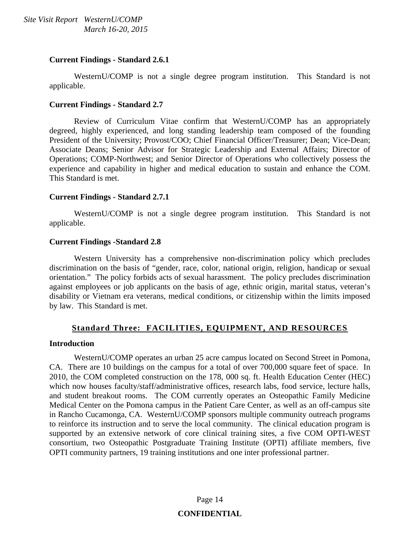#### **Current Findings - Standard 2.6.1**

 WesternU/COMP is not a single degree program institution. This Standard is not applicable.

#### **Current Findings - Standard 2.7**

 Review of Curriculum Vitae confirm that WesternU/COMP has an appropriately degreed, highly experienced, and long standing leadership team composed of the founding President of the University; Provost/COO; Chief Financial Officer/Treasurer; Dean; Vice-Dean; Associate Deans; Senior Advisor for Strategic Leadership and External Affairs; Director of Operations; COMP-Northwest; and Senior Director of Operations who collectively possess the experience and capability in higher and medical education to sustain and enhance the COM. This Standard is met.

#### **Current Findings - Standard 2.7.1**

 WesternU/COMP is not a single degree program institution. This Standard is not applicable.

#### **Current Findings -Standard 2.8**

 Western University has a comprehensive non-discrimination policy which precludes discrimination on the basis of "gender, race, color, national origin, religion, handicap or sexual orientation." The policy forbids acts of sexual harassment. The policy precludes discrimination against employees or job applicants on the basis of age, ethnic origin, marital status, veteran's disability or Vietnam era veterans, medical conditions, or citizenship within the limits imposed by law. This Standard is met.

#### **Standard Three: FACILITIES, EQUIPMENT, AND RESOURCES**

#### **Introduction**

 WesternU/COMP operates an urban 25 acre campus located on Second Street in Pomona, CA. There are 10 buildings on the campus for a total of over 700,000 square feet of space. In 2010, the COM completed construction on the 178, 000 sq. ft. Health Education Center (HEC) which now houses faculty/staff/administrative offices, research labs, food service, lecture halls, and student breakout rooms. The COM currently operates an Osteopathic Family Medicine Medical Center on the Pomona campus in the Patient Care Center, as well as an off-campus site in Rancho Cucamonga, CA. WesternU/COMP sponsors multiple community outreach programs to reinforce its instruction and to serve the local community. The clinical education program is supported by an extensive network of core clinical training sites, a five COM OPTI-WEST consortium, two Osteopathic Postgraduate Training Institute (OPTI) affiliate members, five OPTI community partners, 19 training institutions and one inter professional partner.

## Page 14 **CONFIDENTIAL**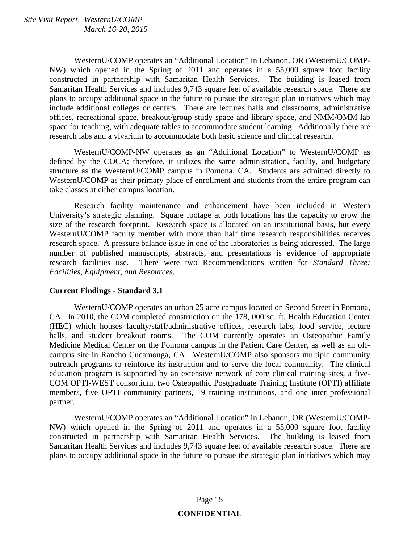WesternU/COMP operates an "Additional Location" in Lebanon, OR (WesternU/COMP-NW) which opened in the Spring of 2011 and operates in a 55,000 square foot facility constructed in partnership with Samaritan Health Services. The building is leased from Samaritan Health Services and includes 9,743 square feet of available research space. There are plans to occupy additional space in the future to pursue the strategic plan initiatives which may include additional colleges or centers. There are lectures halls and classrooms, administrative offices, recreational space, breakout/group study space and library space, and NMM/OMM lab space for teaching, with adequate tables to accommodate student learning. Additionally there are research labs and a vivarium to accommodate both basic science and clinical research.

 WesternU/COMP-NW operates as an "Additional Location" to WesternU/COMP as defined by the COCA; therefore, it utilizes the same administration, faculty, and budgetary structure as the WesternU/COMP campus in Pomona, CA. Students are admitted directly to WesternU/COMP as their primary place of enrollment and students from the entire program can take classes at either campus location.

 Research facility maintenance and enhancement have been included in Western University's strategic planning. Square footage at both locations has the capacity to grow the size of the research footprint. Research space is allocated on an institutional basis, but every WesternU/COMP faculty member with more than half time research responsibilities receives research space. A pressure balance issue in one of the laboratories is being addressed. The large number of published manuscripts, abstracts, and presentations is evidence of appropriate research facilities use. There were two Recommendations written for *Standard Three: Facilities, Equipment, and Resources*.

#### **Current Findings - Standard 3.1**

 WesternU/COMP operates an urban 25 acre campus located on Second Street in Pomona, CA. In 2010, the COM completed construction on the 178, 000 sq. ft. Health Education Center (HEC) which houses faculty/staff/administrative offices, research labs, food service, lecture halls, and student breakout rooms. The COM currently operates an Osteopathic Family Medicine Medical Center on the Pomona campus in the Patient Care Center, as well as an offcampus site in Rancho Cucamonga, CA. WesternU/COMP also sponsors multiple community outreach programs to reinforce its instruction and to serve the local community. The clinical education program is supported by an extensive network of core clinical training sites, a five-COM OPTI-WEST consortium, two Osteopathic Postgraduate Training Institute (OPTI) affiliate members, five OPTI community partners, 19 training institutions, and one inter professional partner.

 WesternU/COMP operates an "Additional Location" in Lebanon, OR (WesternU/COMP-NW) which opened in the Spring of 2011 and operates in a 55,000 square foot facility constructed in partnership with Samaritan Health Services. The building is leased from Samaritan Health Services and includes 9,743 square feet of available research space. There are plans to occupy additional space in the future to pursue the strategic plan initiatives which may

## Page 15 **CONFIDENTIAL**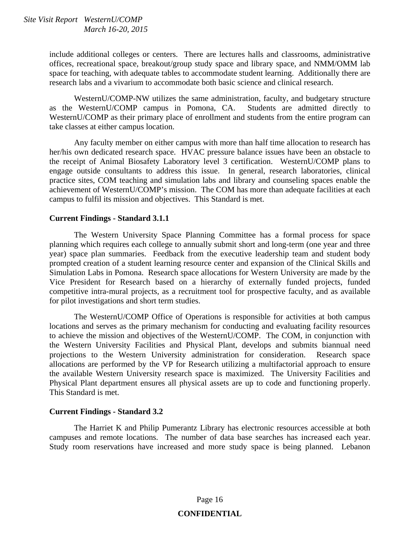include additional colleges or centers. There are lectures halls and classrooms, administrative offices, recreational space, breakout/group study space and library space, and NMM/OMM lab space for teaching, with adequate tables to accommodate student learning. Additionally there are research labs and a vivarium to accommodate both basic science and clinical research.

 WesternU/COMP-NW utilizes the same administration, faculty, and budgetary structure as the WesternU/COMP campus in Pomona, CA. Students are admitted directly to WesternU/COMP as their primary place of enrollment and students from the entire program can take classes at either campus location.

 Any faculty member on either campus with more than half time allocation to research has her/his own dedicated research space. HVAC pressure balance issues have been an obstacle to the receipt of Animal Biosafety Laboratory level 3 certification. WesternU/COMP plans to engage outside consultants to address this issue. In general, research laboratories, clinical practice sites, COM teaching and simulation labs and library and counseling spaces enable the achievement of WesternU/COMP's mission. The COM has more than adequate facilities at each campus to fulfil its mission and objectives. This Standard is met.

#### **Current Findings - Standard 3.1.1**

 The Western University Space Planning Committee has a formal process for space planning which requires each college to annually submit short and long-term (one year and three year) space plan summaries. Feedback from the executive leadership team and student body prompted creation of a student learning resource center and expansion of the Clinical Skills and Simulation Labs in Pomona. Research space allocations for Western University are made by the Vice President for Research based on a hierarchy of externally funded projects, funded competitive intra-mural projects, as a recruitment tool for prospective faculty, and as available for pilot investigations and short term studies.

 The WesternU/COMP Office of Operations is responsible for activities at both campus locations and serves as the primary mechanism for conducting and evaluating facility resources to achieve the mission and objectives of the WesternU/COMP. The COM, in conjunction with the Western University Facilities and Physical Plant, develops and submits biannual need projections to the Western University administration for consideration. Research space allocations are performed by the VP for Research utilizing a multifactorial approach to ensure the available Western University research space is maximized. The University Facilities and Physical Plant department ensures all physical assets are up to code and functioning properly. This Standard is met.

#### **Current Findings - Standard 3.2**

 The Harriet K and Philip Pumerantz Library has electronic resources accessible at both campuses and remote locations. The number of data base searches has increased each year. Study room reservations have increased and more study space is being planned. Lebanon

## Page 16 **CONFIDENTIAL**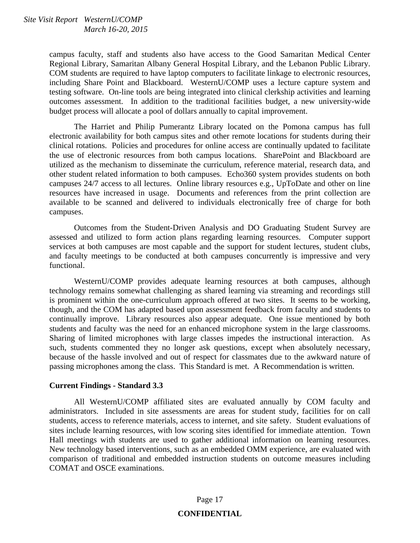campus faculty, staff and students also have access to the Good Samaritan Medical Center Regional Library, Samaritan Albany General Hospital Library, and the Lebanon Public Library. COM students are required to have laptop computers to facilitate linkage to electronic resources, including Share Point and Blackboard. WesternU/COMP uses a lecture capture system and testing software. On-line tools are being integrated into clinical clerkship activities and learning outcomes assessment. In addition to the traditional facilities budget, a new university-wide budget process will allocate a pool of dollars annually to capital improvement.

 The Harriet and Philip Pumerantz Library located on the Pomona campus has full electronic availability for both campus sites and other remote locations for students during their clinical rotations. Policies and procedures for online access are continually updated to facilitate the use of electronic resources from both campus locations. SharePoint and Blackboard are utilized as the mechanism to disseminate the curriculum, reference material, research data, and other student related information to both campuses. Echo360 system provides students on both campuses 24/7 access to all lectures. Online library resources e.g., UpToDate and other on line resources have increased in usage. Documents and references from the print collection are available to be scanned and delivered to individuals electronically free of charge for both campuses.

 Outcomes from the Student-Driven Analysis and DO Graduating Student Survey are assessed and utilized to form action plans regarding learning resources. Computer support services at both campuses are most capable and the support for student lectures, student clubs, and faculty meetings to be conducted at both campuses concurrently is impressive and very functional.

 WesternU/COMP provides adequate learning resources at both campuses, although technology remains somewhat challenging as shared learning via streaming and recordings still is prominent within the one-curriculum approach offered at two sites. It seems to be working, though, and the COM has adapted based upon assessment feedback from faculty and students to continually improve. Library resources also appear adequate. One issue mentioned by both students and faculty was the need for an enhanced microphone system in the large classrooms. Sharing of limited microphones with large classes impedes the instructional interaction. As such, students commented they no longer ask questions, except when absolutely necessary, because of the hassle involved and out of respect for classmates due to the awkward nature of passing microphones among the class. This Standard is met. A Recommendation is written.

#### **Current Findings - Standard 3.3**

 All WesternU/COMP affiliated sites are evaluated annually by COM faculty and administrators. Included in site assessments are areas for student study, facilities for on call students, access to reference materials, access to internet, and site safety. Student evaluations of sites include learning resources, with low scoring sites identified for immediate attention. Town Hall meetings with students are used to gather additional information on learning resources. New technology based interventions, such as an embedded OMM experience, are evaluated with comparison of traditional and embedded instruction students on outcome measures including COMAT and OSCE examinations.

## Page 17 **CONFIDENTIAL**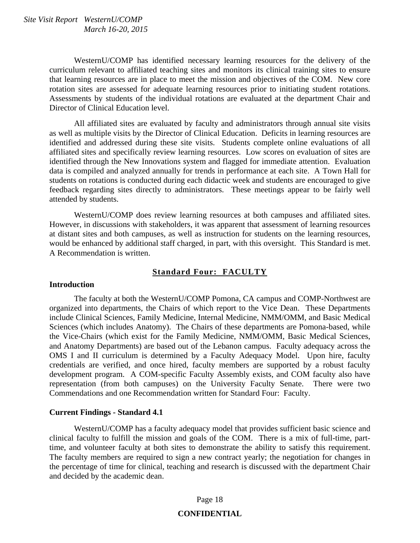WesternU/COMP has identified necessary learning resources for the delivery of the curriculum relevant to affiliated teaching sites and monitors its clinical training sites to ensure that learning resources are in place to meet the mission and objectives of the COM. New core rotation sites are assessed for adequate learning resources prior to initiating student rotations. Assessments by students of the individual rotations are evaluated at the department Chair and Director of Clinical Education level.

 All affiliated sites are evaluated by faculty and administrators through annual site visits as well as multiple visits by the Director of Clinical Education. Deficits in learning resources are identified and addressed during these site visits. Students complete online evaluations of all affiliated sites and specifically review learning resources. Low scores on evaluation of sites are identified through the New Innovations system and flagged for immediate attention. Evaluation data is compiled and analyzed annually for trends in performance at each site. A Town Hall for students on rotations is conducted during each didactic week and students are encouraged to give feedback regarding sites directly to administrators. These meetings appear to be fairly well attended by students.

 WesternU/COMP does review learning resources at both campuses and affiliated sites. However, in discussions with stakeholders, it was apparent that assessment of learning resources at distant sites and both campuses, as well as instruction for students on the learning resources, would be enhanced by additional staff charged, in part, with this oversight. This Standard is met. A Recommendation is written.

#### **Standard Four: FACULTY**

#### **Introduction**

 The faculty at both the WesternU/COMP Pomona, CA campus and COMP-Northwest are organized into departments, the Chairs of which report to the Vice Dean. These Departments include Clinical Sciences, Family Medicine, Internal Medicine, NMM/OMM, and Basic Medical Sciences (which includes Anatomy). The Chairs of these departments are Pomona-based, while the Vice-Chairs (which exist for the Family Medicine, NMM/OMM, Basic Medical Sciences, and Anatomy Departments) are based out of the Lebanon campus. Faculty adequacy across the OMS I and II curriculum is determined by a Faculty Adequacy Model. Upon hire, faculty credentials are verified, and once hired, faculty members are supported by a robust faculty development program. A COM-specific Faculty Assembly exists, and COM faculty also have representation (from both campuses) on the University Faculty Senate. There were two Commendations and one Recommendation written for Standard Four: Faculty.

#### **Current Findings - Standard 4.1**

 WesternU/COMP has a faculty adequacy model that provides sufficient basic science and clinical faculty to fulfill the mission and goals of the COM. There is a mix of full-time, parttime, and volunteer faculty at both sites to demonstrate the ability to satisfy this requirement. The faculty members are required to sign a new contract yearly; the negotiation for changes in the percentage of time for clinical, teaching and research is discussed with the department Chair and decided by the academic dean.

## Page 18 **CONFIDENTIAL**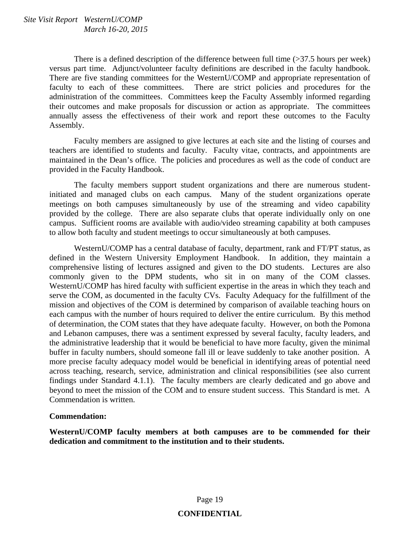There is a defined description of the difference between full time (>37.5 hours per week) versus part time. Adjunct/volunteer faculty definitions are described in the faculty handbook. There are five standing committees for the WesternU/COMP and appropriate representation of faculty to each of these committees. There are strict policies and procedures for the administration of the committees. Committees keep the Faculty Assembly informed regarding their outcomes and make proposals for discussion or action as appropriate. The committees annually assess the effectiveness of their work and report these outcomes to the Faculty Assembly.

 Faculty members are assigned to give lectures at each site and the listing of courses and teachers are identified to students and faculty. Faculty vitae, contracts, and appointments are maintained in the Dean's office. The policies and procedures as well as the code of conduct are provided in the Faculty Handbook.

 The faculty members support student organizations and there are numerous studentinitiated and managed clubs on each campus. Many of the student organizations operate meetings on both campuses simultaneously by use of the streaming and video capability provided by the college. There are also separate clubs that operate individually only on one campus. Sufficient rooms are available with audio/video streaming capability at both campuses to allow both faculty and student meetings to occur simultaneously at both campuses.

 WesternU/COMP has a central database of faculty, department, rank and FT/PT status, as defined in the Western University Employment Handbook. In addition, they maintain a comprehensive listing of lectures assigned and given to the DO students. Lectures are also commonly given to the DPM students, who sit in on many of the COM classes. WesternU/COMP has hired faculty with sufficient expertise in the areas in which they teach and serve the COM, as documented in the faculty CVs. Faculty Adequacy for the fulfillment of the mission and objectives of the COM is determined by comparison of available teaching hours on each campus with the number of hours required to deliver the entire curriculum. By this method of determination, the COM states that they have adequate faculty. However, on both the Pomona and Lebanon campuses, there was a sentiment expressed by several faculty, faculty leaders, and the administrative leadership that it would be beneficial to have more faculty, given the minimal buffer in faculty numbers, should someone fall ill or leave suddenly to take another position. A more precise faculty adequacy model would be beneficial in identifying areas of potential need across teaching, research, service, administration and clinical responsibilities (see also current findings under Standard 4.1.1). The faculty members are clearly dedicated and go above and beyond to meet the mission of the COM and to ensure student success. This Standard is met. A Commendation is written.

#### **Commendation:**

**WesternU/COMP faculty members at both campuses are to be commended for their dedication and commitment to the institution and to their students.**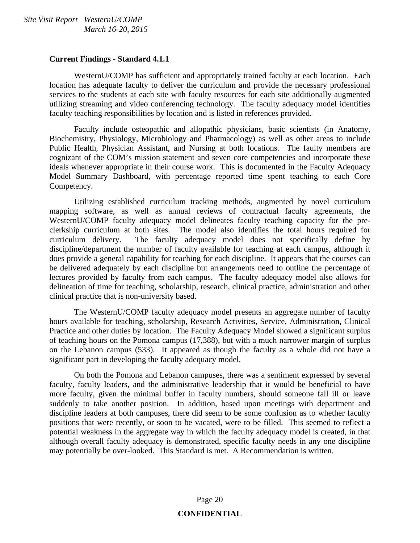#### **Current Findings - Standard 4.1.1**

 WesternU/COMP has sufficient and appropriately trained faculty at each location. Each location has adequate faculty to deliver the curriculum and provide the necessary professional services to the students at each site with faculty resources for each site additionally augmented utilizing streaming and video conferencing technology. The faculty adequacy model identifies faculty teaching responsibilities by location and is listed in references provided.

 Faculty include osteopathic and allopathic physicians, basic scientists (in Anatomy, Biochemistry, Physiology, Microbiology and Pharmacology) as well as other areas to include Public Health, Physician Assistant, and Nursing at both locations. The faulty members are cognizant of the COM's mission statement and seven core competencies and incorporate these ideals whenever appropriate in their course work. This is documented in the Faculty Adequacy Model Summary Dashboard, with percentage reported time spent teaching to each Core Competency.

 Utilizing established curriculum tracking methods, augmented by novel curriculum mapping software, as well as annual reviews of contractual faculty agreements, the WesternU/COMP faculty adequacy model delineates faculty teaching capacity for the preclerkship curriculum at both sites. The model also identifies the total hours required for curriculum delivery. The faculty adequacy model does not specifically define by discipline/department the number of faculty available for teaching at each campus, although it does provide a general capability for teaching for each discipline. It appears that the courses can be delivered adequately by each discipline but arrangements need to outline the percentage of lectures provided by faculty from each campus. The faculty adequacy model also allows for delineation of time for teaching, scholarship, research, clinical practice, administration and other clinical practice that is non-university based.

 The WesternU/COMP faculty adequacy model presents an aggregate number of faculty hours available for teaching, scholarship, Research Activities, Service, Administration, Clinical Practice and other duties by location. The Faculty Adequacy Model showed a significant surplus of teaching hours on the Pomona campus (17,388), but with a much narrower margin of surplus on the Lebanon campus (533). It appeared as though the faculty as a whole did not have a significant part in developing the faculty adequacy model.

 On both the Pomona and Lebanon campuses, there was a sentiment expressed by several faculty, faculty leaders, and the administrative leadership that it would be beneficial to have more faculty, given the minimal buffer in faculty numbers, should someone fall ill or leave suddenly to take another position. In addition, based upon meetings with department and discipline leaders at both campuses, there did seem to be some confusion as to whether faculty positions that were recently, or soon to be vacated, were to be filled. This seemed to reflect a potential weakness in the aggregate way in which the faculty adequacy model is created, in that although overall faculty adequacy is demonstrated, specific faculty needs in any one discipline may potentially be over-looked. This Standard is met. A Recommendation is written.

## Page 20 **CONFIDENTIAL**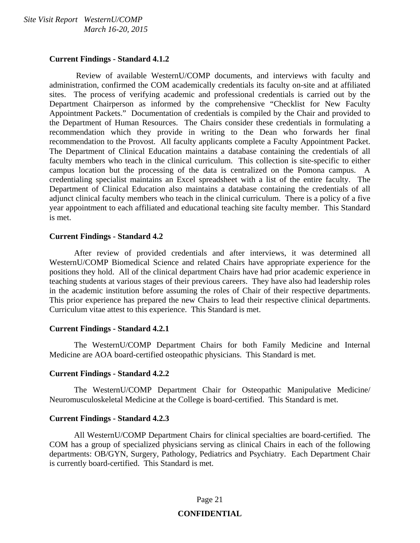#### **Current Findings - Standard 4.1.2**

 Review of available WesternU/COMP documents, and interviews with faculty and administration, confirmed the COM academically credentials its faculty on-site and at affiliated sites. The process of verifying academic and professional credentials is carried out by the Department Chairperson as informed by the comprehensive "Checklist for New Faculty Appointment Packets." Documentation of credentials is compiled by the Chair and provided to the Department of Human Resources. The Chairs consider these credentials in formulating a recommendation which they provide in writing to the Dean who forwards her final recommendation to the Provost. All faculty applicants complete a Faculty Appointment Packet. The Department of Clinical Education maintains a database containing the credentials of all faculty members who teach in the clinical curriculum. This collection is site-specific to either campus location but the processing of the data is centralized on the Pomona campus. A credentialing specialist maintains an Excel spreadsheet with a list of the entire faculty. The Department of Clinical Education also maintains a database containing the credentials of all adjunct clinical faculty members who teach in the clinical curriculum. There is a policy of a five year appointment to each affiliated and educational teaching site faculty member. This Standard is met.

#### **Current Findings - Standard 4.2**

 After review of provided credentials and after interviews, it was determined all WesternU/COMP Biomedical Science and related Chairs have appropriate experience for the positions they hold. All of the clinical department Chairs have had prior academic experience in teaching students at various stages of their previous careers. They have also had leadership roles in the academic institution before assuming the roles of Chair of their respective departments. This prior experience has prepared the new Chairs to lead their respective clinical departments. Curriculum vitae attest to this experience. This Standard is met.

#### **Current Findings - Standard 4.2.1**

 The WesternU/COMP Department Chairs for both Family Medicine and Internal Medicine are AOA board-certified osteopathic physicians. This Standard is met.

#### **Current Findings - Standard 4.2.2**

 The WesternU/COMP Department Chair for Osteopathic Manipulative Medicine/ Neuromusculoskeletal Medicine at the College is board-certified. This Standard is met.

#### **Current Findings - Standard 4.2.3**

 All WesternU/COMP Department Chairs for clinical specialties are board-certified. The COM has a group of specialized physicians serving as clinical Chairs in each of the following departments: OB/GYN, Surgery, Pathology, Pediatrics and Psychiatry. Each Department Chair is currently board-certified. This Standard is met.

#### Page 21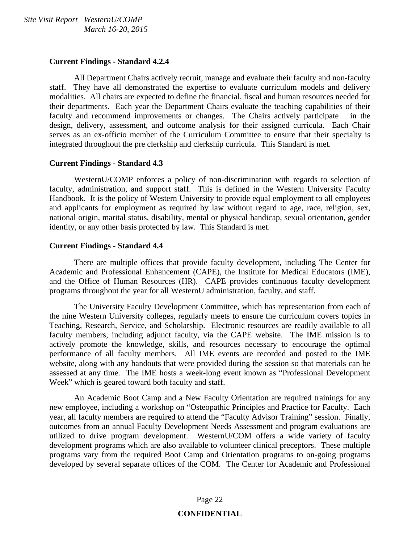#### **Current Findings - Standard 4.2.4**

 All Department Chairs actively recruit, manage and evaluate their faculty and non-faculty staff. They have all demonstrated the expertise to evaluate curriculum models and delivery modalities. All chairs are expected to define the financial, fiscal and human resources needed for their departments. Each year the Department Chairs evaluate the teaching capabilities of their faculty and recommend improvements or changes. The Chairs actively participate in the design, delivery, assessment, and outcome analysis for their assigned curricula. Each Chair serves as an ex-officio member of the Curriculum Committee to ensure that their specialty is integrated throughout the pre clerkship and clerkship curricula. This Standard is met.

#### **Current Findings - Standard 4.3**

 WesternU/COMP enforces a policy of non-discrimination with regards to selection of faculty, administration, and support staff. This is defined in the Western University Faculty Handbook. It is the policy of Western University to provide equal employment to all employees and applicants for employment as required by law without regard to age, race, religion, sex, national origin, marital status, disability, mental or physical handicap, sexual orientation, gender identity, or any other basis protected by law. This Standard is met.

#### **Current Findings - Standard 4.4**

 There are multiple offices that provide faculty development, including The Center for Academic and Professional Enhancement (CAPE), the Institute for Medical Educators (IME), and the Office of Human Resources (HR). CAPE provides continuous faculty development programs throughout the year for all WesternU administration, faculty, and staff.

 The University Faculty Development Committee, which has representation from each of the nine Western University colleges, regularly meets to ensure the curriculum covers topics in Teaching, Research, Service, and Scholarship. Electronic resources are readily available to all faculty members, including adjunct faculty, via the CAPE website. The IME mission is to actively promote the knowledge, skills, and resources necessary to encourage the optimal performance of all faculty members. All IME events are recorded and posted to the IME website, along with any handouts that were provided during the session so that materials can be assessed at any time. The IME hosts a week-long event known as "Professional Development Week" which is geared toward both faculty and staff.

 An Academic Boot Camp and a New Faculty Orientation are required trainings for any new employee, including a workshop on "Osteopathic Principles and Practice for Faculty. Each year, all faculty members are required to attend the "Faculty Advisor Training" session. Finally, outcomes from an annual Faculty Development Needs Assessment and program evaluations are utilized to drive program development. WesternU/COM offers a wide variety of faculty development programs which are also available to volunteer clinical preceptors. These multiple programs vary from the required Boot Camp and Orientation programs to on-going programs developed by several separate offices of the COM. The Center for Academic and Professional

#### Page 22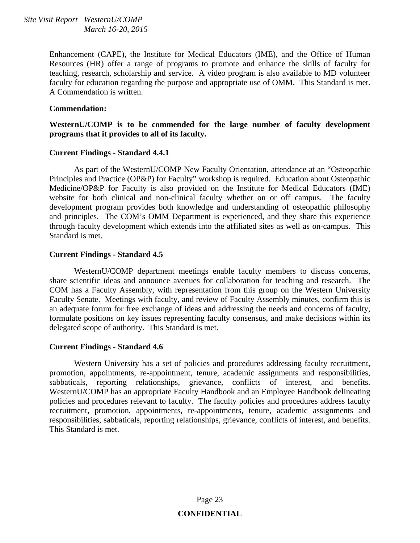Enhancement (CAPE), the Institute for Medical Educators (IME), and the Office of Human Resources (HR) offer a range of programs to promote and enhance the skills of faculty for teaching, research, scholarship and service. A video program is also available to MD volunteer faculty for education regarding the purpose and appropriate use of OMM. This Standard is met. A Commendation is written.

#### **Commendation:**

**WesternU/COMP is to be commended for the large number of faculty development programs that it provides to all of its faculty.** 

#### **Current Findings - Standard 4.4.1**

 As part of the WesternU/COMP New Faculty Orientation, attendance at an "Osteopathic Principles and Practice (OP&P) for Faculty" workshop is required. Education about Osteopathic Medicine/OP&P for Faculty is also provided on the Institute for Medical Educators (IME) website for both clinical and non-clinical faculty whether on or off campus. The faculty development program provides both knowledge and understanding of osteopathic philosophy and principles. The COM's OMM Department is experienced, and they share this experience through faculty development which extends into the affiliated sites as well as on-campus. This Standard is met.

#### **Current Findings - Standard 4.5**

 WesternU/COMP department meetings enable faculty members to discuss concerns, share scientific ideas and announce avenues for collaboration for teaching and research. The COM has a Faculty Assembly, with representation from this group on the Western University Faculty Senate. Meetings with faculty, and review of Faculty Assembly minutes, confirm this is an adequate forum for free exchange of ideas and addressing the needs and concerns of faculty, formulate positions on key issues representing faculty consensus, and make decisions within its delegated scope of authority. This Standard is met.

#### **Current Findings - Standard 4.6**

 Western University has a set of policies and procedures addressing faculty recruitment, promotion, appointments, re-appointment, tenure, academic assignments and responsibilities, sabbaticals, reporting relationships, grievance, conflicts of interest, and benefits. WesternU/COMP has an appropriate Faculty Handbook and an Employee Handbook delineating policies and procedures relevant to faculty. The faculty policies and procedures address faculty recruitment, promotion, appointments, re-appointments, tenure, academic assignments and responsibilities, sabbaticals, reporting relationships, grievance, conflicts of interest, and benefits. This Standard is met.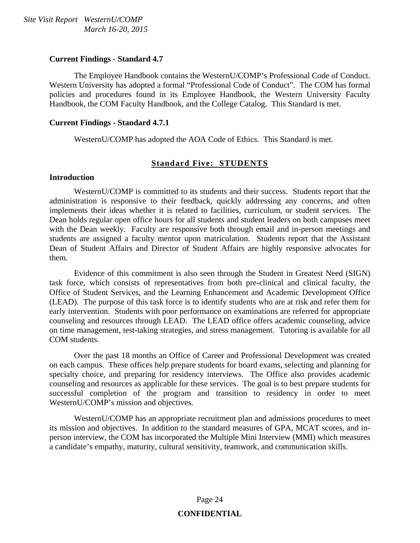#### **Current Findings - Standard 4.7**

 The Employee Handbook contains the WesternU/COMP's Professional Code of Conduct. Western University has adopted a formal "Professional Code of Conduct". The COM has formal policies and procedures found in its Employee Handbook, the Western University Faculty Handbook, the COM Faculty Handbook, and the College Catalog. This Standard is met.

#### **Current Findings - Standard 4.7.1**

WesternU/COMP has adopted the AOA Code of Ethics. This Standard is met.

#### **Standard Five: STUDENTS**

#### **Introduction**

 WesternU/COMP is committed to its students and their success. Students report that the administration is responsive to their feedback, quickly addressing any concerns, and often implements their ideas whether it is related to facilities, curriculum, or student services. The Dean holds regular open office hours for all students and student leaders on both campuses meet with the Dean weekly. Faculty are responsive both through email and in-person meetings and students are assigned a faculty mentor upon matriculation. Students report that the Assistant Dean of Student Affairs and Director of Student Affairs are highly responsive advocates for them.

 Evidence of this commitment is also seen through the Student in Greatest Need (SIGN) task force, which consists of representatives from both pre-clinical and clinical faculty, the Office of Student Services, and the Learning Enhancement and Academic Development Office (LEAD). The purpose of this task force is to identify students who are at risk and refer them for early intervention. Students with poor performance on examinations are referred for appropriate counseling and resources through LEAD. The LEAD office offers academic counseling, advice on time management, test-taking strategies, and stress management. Tutoring is available for all COM students.

 Over the past 18 months an Office of Career and Professional Development was created on each campus. These offices help prepare students for board exams, selecting and planning for specialty choice, and preparing for residency interviews. The Office also provides academic counseling and resources as applicable for these services. The goal is to best prepare students for successful completion of the program and transition to residency in order to meet WesternU/COMP's mission and objectives.

 WesternU/COMP has an appropriate recruitment plan and admissions procedures to meet its mission and objectives. In addition to the standard measures of GPA, MCAT scores, and inperson interview, the COM has incorporated the Multiple Mini Interview (MMI) which measures a candidate's empathy, maturity, cultural sensitivity, teamwork, and communication skills.

## Page 24 **CONFIDENTIAL**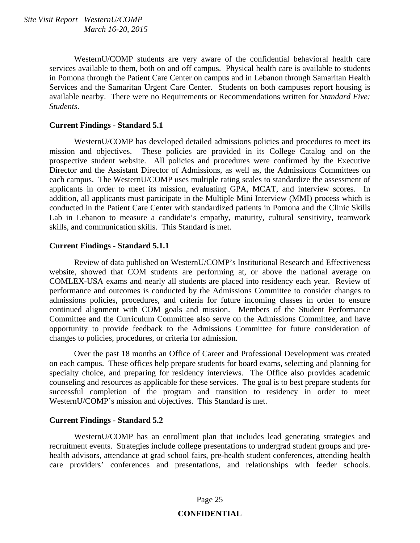WesternU/COMP students are very aware of the confidential behavioral health care services available to them, both on and off campus. Physical health care is available to students in Pomona through the Patient Care Center on campus and in Lebanon through Samaritan Health Services and the Samaritan Urgent Care Center. Students on both campuses report housing is available nearby. There were no Requirements or Recommendations written for *Standard Five: Students*.

#### **Current Findings - Standard 5.1**

 WesternU/COMP has developed detailed admissions policies and procedures to meet its mission and objectives. These policies are provided in its College Catalog and on the prospective student website. All policies and procedures were confirmed by the Executive Director and the Assistant Director of Admissions, as well as, the Admissions Committees on each campus. The WesternU/COMP uses multiple rating scales to standardize the assessment of applicants in order to meet its mission, evaluating GPA, MCAT, and interview scores. In addition, all applicants must participate in the Multiple Mini Interview (MMI) process which is conducted in the Patient Care Center with standardized patients in Pomona and the Clinic Skills Lab in Lebanon to measure a candidate's empathy, maturity, cultural sensitivity, teamwork skills, and communication skills. This Standard is met.

#### **Current Findings - Standard 5.1.1**

 Review of data published on WesternU/COMP's Institutional Research and Effectiveness website, showed that COM students are performing at, or above the national average on COMLEX-USA exams and nearly all students are placed into residency each year. Review of performance and outcomes is conducted by the Admissions Committee to consider changes to admissions policies, procedures, and criteria for future incoming classes in order to ensure continued alignment with COM goals and mission. Members of the Student Performance Committee and the Curriculum Committee also serve on the Admissions Committee, and have opportunity to provide feedback to the Admissions Committee for future consideration of changes to policies, procedures, or criteria for admission.

 Over the past 18 months an Office of Career and Professional Development was created on each campus. These offices help prepare students for board exams, selecting and planning for specialty choice, and preparing for residency interviews. The Office also provides academic counseling and resources as applicable for these services. The goal is to best prepare students for successful completion of the program and transition to residency in order to meet WesternU/COMP's mission and objectives. This Standard is met.

#### **Current Findings - Standard 5.2**

 WesternU/COMP has an enrollment plan that includes lead generating strategies and recruitment events. Strategies include college presentations to undergrad student groups and prehealth advisors, attendance at grad school fairs, pre-health student conferences, attending health care providers' conferences and presentations, and relationships with feeder schools.

## Page 25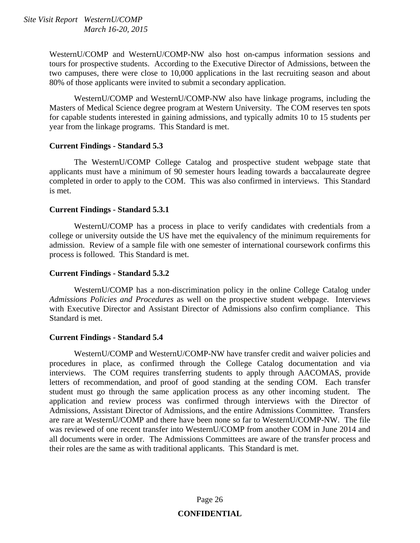WesternU/COMP and WesternU/COMP-NW also host on-campus information sessions and tours for prospective students. According to the Executive Director of Admissions, between the two campuses, there were close to 10,000 applications in the last recruiting season and about 80% of those applicants were invited to submit a secondary application.

 WesternU/COMP and WesternU/COMP-NW also have linkage programs, including the Masters of Medical Science degree program at Western University. The COM reserves ten spots for capable students interested in gaining admissions, and typically admits 10 to 15 students per year from the linkage programs. This Standard is met.

#### **Current Findings - Standard 5.3**

 The WesternU/COMP College Catalog and prospective student webpage state that applicants must have a minimum of 90 semester hours leading towards a baccalaureate degree completed in order to apply to the COM. This was also confirmed in interviews. This Standard is met.

#### **Current Findings - Standard 5.3.1**

 WesternU/COMP has a process in place to verify candidates with credentials from a college or university outside the US have met the equivalency of the minimum requirements for admission. Review of a sample file with one semester of international coursework confirms this process is followed. This Standard is met.

#### **Current Findings - Standard 5.3.2**

 WesternU/COMP has a non-discrimination policy in the online College Catalog under *Admissions Policies and Procedures* as well on the prospective student webpage. Interviews with Executive Director and Assistant Director of Admissions also confirm compliance. This Standard is met.

#### **Current Findings - Standard 5.4**

 WesternU/COMP and WesternU/COMP-NW have transfer credit and waiver policies and procedures in place, as confirmed through the College Catalog documentation and via interviews. The COM requires transferring students to apply through AACOMAS, provide letters of recommendation, and proof of good standing at the sending COM. Each transfer student must go through the same application process as any other incoming student. The application and review process was confirmed through interviews with the Director of Admissions, Assistant Director of Admissions, and the entire Admissions Committee. Transfers are rare at WesternU/COMP and there have been none so far to WesternU/COMP-NW. The file was reviewed of one recent transfer into WesternU/COMP from another COM in June 2014 and all documents were in order. The Admissions Committees are aware of the transfer process and their roles are the same as with traditional applicants. This Standard is met.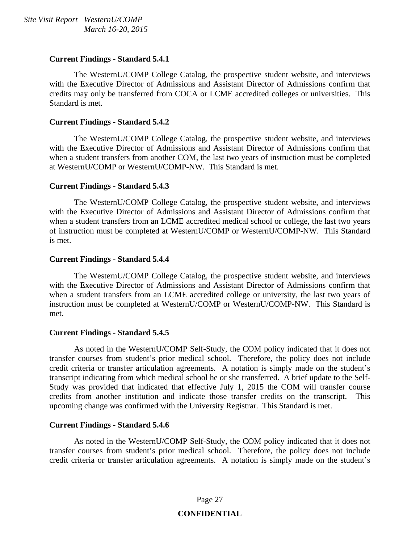#### **Current Findings - Standard 5.4.1**

 The WesternU/COMP College Catalog, the prospective student website, and interviews with the Executive Director of Admissions and Assistant Director of Admissions confirm that credits may only be transferred from COCA or LCME accredited colleges or universities. This Standard is met.

#### **Current Findings - Standard 5.4.2**

 The WesternU/COMP College Catalog, the prospective student website, and interviews with the Executive Director of Admissions and Assistant Director of Admissions confirm that when a student transfers from another COM, the last two years of instruction must be completed at WesternU/COMP or WesternU/COMP-NW. This Standard is met.

#### **Current Findings - Standard 5.4.3**

 The WesternU/COMP College Catalog, the prospective student website, and interviews with the Executive Director of Admissions and Assistant Director of Admissions confirm that when a student transfers from an LCME accredited medical school or college, the last two years of instruction must be completed at WesternU/COMP or WesternU/COMP-NW. This Standard is met.

#### **Current Findings - Standard 5.4.4**

 The WesternU/COMP College Catalog, the prospective student website, and interviews with the Executive Director of Admissions and Assistant Director of Admissions confirm that when a student transfers from an LCME accredited college or university, the last two years of instruction must be completed at WesternU/COMP or WesternU/COMP-NW. This Standard is met.

#### **Current Findings - Standard 5.4.5**

 As noted in the WesternU/COMP Self-Study, the COM policy indicated that it does not transfer courses from student's prior medical school. Therefore, the policy does not include credit criteria or transfer articulation agreements. A notation is simply made on the student's transcript indicating from which medical school he or she transferred. A brief update to the Self-Study was provided that indicated that effective July 1, 2015 the COM will transfer course credits from another institution and indicate those transfer credits on the transcript. This upcoming change was confirmed with the University Registrar. This Standard is met.

#### **Current Findings - Standard 5.4.6**

 As noted in the WesternU/COMP Self-Study, the COM policy indicated that it does not transfer courses from student's prior medical school. Therefore, the policy does not include credit criteria or transfer articulation agreements. A notation is simply made on the student's

## Page 27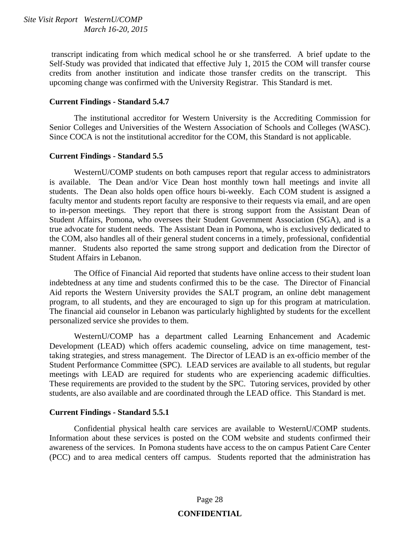transcript indicating from which medical school he or she transferred. A brief update to the Self-Study was provided that indicated that effective July 1, 2015 the COM will transfer course credits from another institution and indicate those transfer credits on the transcript. This upcoming change was confirmed with the University Registrar. This Standard is met.

#### **Current Findings - Standard 5.4.7**

 The institutional accreditor for Western University is the Accrediting Commission for Senior Colleges and Universities of the Western Association of Schools and Colleges (WASC). Since COCA is not the institutional accreditor for the COM, this Standard is not applicable.

#### **Current Findings - Standard 5.5**

 WesternU/COMP students on both campuses report that regular access to administrators is available. The Dean and/or Vice Dean host monthly town hall meetings and invite all students. The Dean also holds open office hours bi-weekly. Each COM student is assigned a faculty mentor and students report faculty are responsive to their requests via email, and are open to in-person meetings. They report that there is strong support from the Assistant Dean of Student Affairs, Pomona, who oversees their Student Government Association (SGA), and is a true advocate for student needs. The Assistant Dean in Pomona, who is exclusively dedicated to the COM, also handles all of their general student concerns in a timely, professional, confidential manner. Students also reported the same strong support and dedication from the Director of Student Affairs in Lebanon.

 The Office of Financial Aid reported that students have online access to their student loan indebtedness at any time and students confirmed this to be the case. The Director of Financial Aid reports the Western University provides the SALT program, an online debt management program, to all students, and they are encouraged to sign up for this program at matriculation. The financial aid counselor in Lebanon was particularly highlighted by students for the excellent personalized service she provides to them.

 WesternU/COMP has a department called Learning Enhancement and Academic Development (LEAD) which offers academic counseling, advice on time management, testtaking strategies, and stress management. The Director of LEAD is an ex-officio member of the Student Performance Committee (SPC). LEAD services are available to all students, but regular meetings with LEAD are required for students who are experiencing academic difficulties. These requirements are provided to the student by the SPC. Tutoring services, provided by other students, are also available and are coordinated through the LEAD office. This Standard is met.

#### **Current Findings - Standard 5.5.1**

 Confidential physical health care services are available to WesternU/COMP students. Information about these services is posted on the COM website and students confirmed their awareness of the services. In Pomona students have access to the on campus Patient Care Center (PCC) and to area medical centers off campus. Students reported that the administration has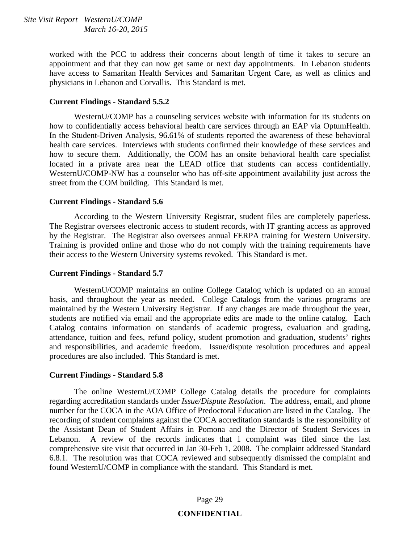worked with the PCC to address their concerns about length of time it takes to secure an appointment and that they can now get same or next day appointments. In Lebanon students have access to Samaritan Health Services and Samaritan Urgent Care, as well as clinics and physicians in Lebanon and Corvallis. This Standard is met.

#### **Current Findings - Standard 5.5.2**

 WesternU/COMP has a counseling services website with information for its students on how to confidentially access behavioral health care services through an EAP via OptumHealth. In the Student-Driven Analysis, 96.61% of students reported the awareness of these behavioral health care services. Interviews with students confirmed their knowledge of these services and how to secure them. Additionally, the COM has an onsite behavioral health care specialist located in a private area near the LEAD office that students can access confidentially. WesternU/COMP-NW has a counselor who has off-site appointment availability just across the street from the COM building. This Standard is met.

#### **Current Findings - Standard 5.6**

 According to the Western University Registrar, student files are completely paperless. The Registrar oversees electronic access to student records, with IT granting access as approved by the Registrar. The Registrar also oversees annual FERPA training for Western University. Training is provided online and those who do not comply with the training requirements have their access to the Western University systems revoked. This Standard is met.

#### **Current Findings - Standard 5.7**

 WesternU/COMP maintains an online College Catalog which is updated on an annual basis, and throughout the year as needed. College Catalogs from the various programs are maintained by the Western University Registrar. If any changes are made throughout the year, students are notified via email and the appropriate edits are made to the online catalog. Each Catalog contains information on standards of academic progress, evaluation and grading, attendance, tuition and fees, refund policy, student promotion and graduation, students' rights and responsibilities, and academic freedom. Issue/dispute resolution procedures and appeal procedures are also included. This Standard is met.

#### **Current Findings - Standard 5.8**

 The online WesternU/COMP College Catalog details the procedure for complaints regarding accreditation standards under *Issue/Dispute Resolution*. The address, email, and phone number for the COCA in the AOA Office of Predoctoral Education are listed in the Catalog. The recording of student complaints against the COCA accreditation standards is the responsibility of the Assistant Dean of Student Affairs in Pomona and the Director of Student Services in Lebanon. A review of the records indicates that 1 complaint was filed since the last comprehensive site visit that occurred in Jan 30-Feb 1, 2008. The complaint addressed Standard 6.8.1. The resolution was that COCA reviewed and subsequently dismissed the complaint and found WesternU/COMP in compliance with the standard. This Standard is met.

#### Page 29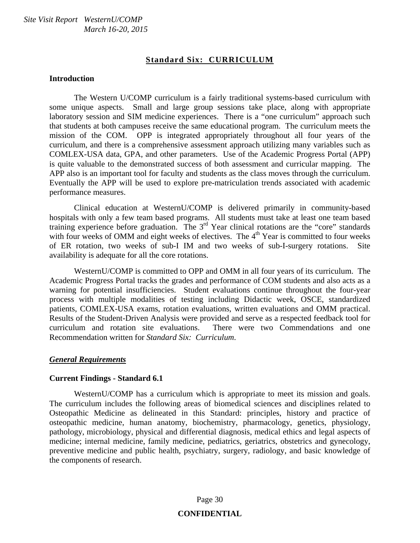#### **Standard Six: CURRICULUM**

#### **Introduction**

 The Western U/COMP curriculum is a fairly traditional systems-based curriculum with some unique aspects. Small and large group sessions take place, along with appropriate laboratory session and SIM medicine experiences. There is a "one curriculum" approach such that students at both campuses receive the same educational program. The curriculum meets the mission of the COM. OPP is integrated appropriately throughout all four years of the curriculum, and there is a comprehensive assessment approach utilizing many variables such as COMLEX-USA data, GPA, and other parameters. Use of the Academic Progress Portal (APP) is quite valuable to the demonstrated success of both assessment and curricular mapping. The APP also is an important tool for faculty and students as the class moves through the curriculum. Eventually the APP will be used to explore pre-matriculation trends associated with academic performance measures.

 Clinical education at WesternU/COMP is delivered primarily in community-based hospitals with only a few team based programs. All students must take at least one team based training experience before graduation. The  $3<sup>rd</sup>$  Year clinical rotations are the "core" standards with four weeks of OMM and eight weeks of electives. The  $4<sup>th</sup>$  Year is committed to four weeks of ER rotation, two weeks of sub-I IM and two weeks of sub-I-surgery rotations. Site availability is adequate for all the core rotations.

 WesternU/COMP is committed to OPP and OMM in all four years of its curriculum. The Academic Progress Portal tracks the grades and performance of COM students and also acts as a warning for potential insufficiencies. Student evaluations continue throughout the four-year process with multiple modalities of testing including Didactic week, OSCE, standardized patients, COMLEX-USA exams, rotation evaluations, written evaluations and OMM practical. Results of the Student-Driven Analysis were provided and serve as a respected feedback tool for curriculum and rotation site evaluations. There were two Commendations and one Recommendation written for *Standard Six: Curriculum*.

#### *General Requirements*

#### **Current Findings - Standard 6.1**

WesternU/COMP has a curriculum which is appropriate to meet its mission and goals. The curriculum includes the following areas of biomedical sciences and disciplines related to Osteopathic Medicine as delineated in this Standard: principles, history and practice of osteopathic medicine, human anatomy, biochemistry, pharmacology, genetics, physiology, pathology, microbiology, physical and differential diagnosis, medical ethics and legal aspects of medicine; internal medicine, family medicine, pediatrics, geriatrics, obstetrics and gynecology, preventive medicine and public health, psychiatry, surgery, radiology, and basic knowledge of the components of research.

## Page 30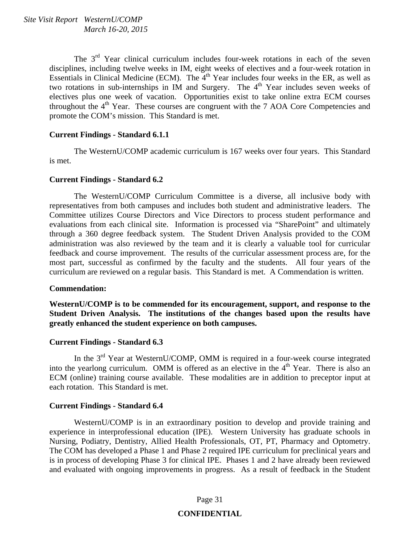The 3<sup>rd</sup> Year clinical curriculum includes four-week rotations in each of the seven disciplines, including twelve weeks in IM, eight weeks of electives and a four-week rotation in Essentials in Clinical Medicine (ECM). The 4<sup>th</sup> Year includes four weeks in the ER, as well as two rotations in sub-internships in IM and Surgery. The  $4<sup>th</sup>$  Year includes seven weeks of electives plus one week of vacation. Opportunities exist to take online extra ECM courses throughout the  $4<sup>th</sup>$  Year. These courses are congruent with the 7 AOA Core Competencies and promote the COM's mission. This Standard is met.

#### **Current Findings - Standard 6.1.1**

 The WesternU/COMP academic curriculum is 167 weeks over four years. This Standard is met.

#### **Current Findings - Standard 6.2**

 The WesternU/COMP Curriculum Committee is a diverse, all inclusive body with representatives from both campuses and includes both student and administrative leaders. The Committee utilizes Course Directors and Vice Directors to process student performance and evaluations from each clinical site. Information is processed via "SharePoint" and ultimately through a 360 degree feedback system. The Student Driven Analysis provided to the COM administration was also reviewed by the team and it is clearly a valuable tool for curricular feedback and course improvement. The results of the curricular assessment process are, for the most part, successful as confirmed by the faculty and the students. All four years of the curriculum are reviewed on a regular basis. This Standard is met. A Commendation is written.

#### **Commendation:**

**WesternU/COMP is to be commended for its encouragement, support, and response to the Student Driven Analysis. The institutions of the changes based upon the results have greatly enhanced the student experience on both campuses.** 

#### **Current Findings - Standard 6.3**

In the  $3<sup>rd</sup>$  Year at WesternU/COMP, OMM is required in a four-week course integrated into the yearlong curriculum. OMM is offered as an elective in the  $4<sup>th</sup>$  Year. There is also an ECM (online) training course available. These modalities are in addition to preceptor input at each rotation. This Standard is met.

#### **Current Findings - Standard 6.4**

 WesternU/COMP is in an extraordinary position to develop and provide training and experience in interprofessional education (IPE). Western University has graduate schools in Nursing, Podiatry, Dentistry, Allied Health Professionals, OT, PT, Pharmacy and Optometry. The COM has developed a Phase 1 and Phase 2 required IPE curriculum for preclinical years and is in process of developing Phase 3 for clinical IPE. Phases 1 and 2 have already been reviewed and evaluated with ongoing improvements in progress. As a result of feedback in the Student

#### Page 31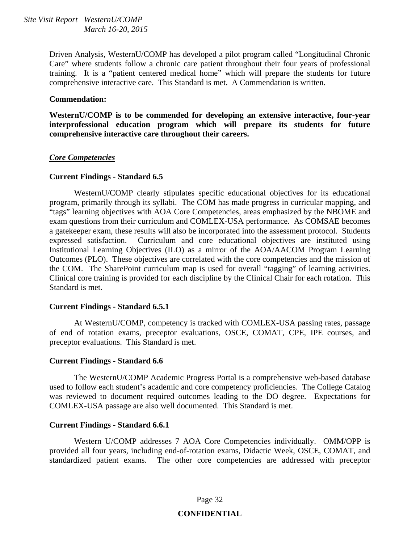> Driven Analysis, WesternU/COMP has developed a pilot program called "Longitudinal Chronic Care" where students follow a chronic care patient throughout their four years of professional training. It is a "patient centered medical home" which will prepare the students for future comprehensive interactive care. This Standard is met. A Commendation is written.

#### **Commendation:**

**WesternU/COMP is to be commended for developing an extensive interactive, four-year interprofessional education program which will prepare its students for future comprehensive interactive care throughout their careers.** 

#### *Core Competencies*

#### **Current Findings - Standard 6.5**

 WesternU/COMP clearly stipulates specific educational objectives for its educational program, primarily through its syllabi. The COM has made progress in curricular mapping, and "tags" learning objectives with AOA Core Competencies, areas emphasized by the NBOME and exam questions from their curriculum and COMLEX-USA performance. As COMSAE becomes a gatekeeper exam, these results will also be incorporated into the assessment protocol. Students expressed satisfaction. Curriculum and core educational objectives are instituted using Institutional Learning Objectives (ILO) as a mirror of the AOA/AACOM Program Learning Outcomes (PLO). These objectives are correlated with the core competencies and the mission of the COM. The SharePoint curriculum map is used for overall "tagging" of learning activities. Clinical core training is provided for each discipline by the Clinical Chair for each rotation. This Standard is met.

#### **Current Findings - Standard 6.5.1**

 At WesternU/COMP, competency is tracked with COMLEX-USA passing rates, passage of end of rotation exams, preceptor evaluations, OSCE, COMAT, CPE, IPE courses, and preceptor evaluations. This Standard is met.

#### **Current Findings - Standard 6.6**

 The WesternU/COMP Academic Progress Portal is a comprehensive web-based database used to follow each student's academic and core competency proficiencies. The College Catalog was reviewed to document required outcomes leading to the DO degree. Expectations for COMLEX-USA passage are also well documented. This Standard is met.

#### **Current Findings - Standard 6.6.1**

 Western U/COMP addresses 7 AOA Core Competencies individually. OMM/OPP is provided all four years, including end-of-rotation exams, Didactic Week, OSCE, COMAT, and standardized patient exams. The other core competencies are addressed with preceptor

#### Page 32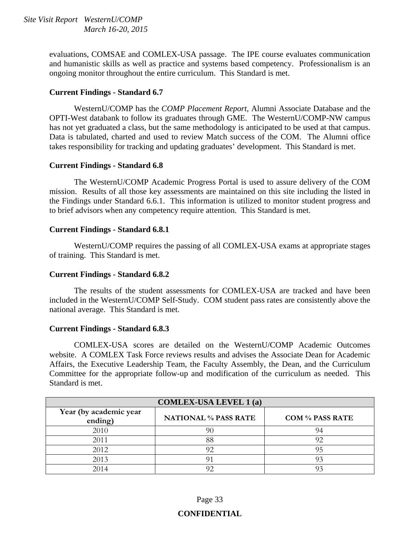> evaluations, COMSAE and COMLEX-USA passage. The IPE course evaluates communication and humanistic skills as well as practice and systems based competency. Professionalism is an ongoing monitor throughout the entire curriculum. This Standard is met.

#### **Current Findings - Standard 6.7**

 WesternU/COMP has the *COMP Placement Report*, Alumni Associate Database and the OPTI-West databank to follow its graduates through GME. The WesternU/COMP-NW campus has not yet graduated a class, but the same methodology is anticipated to be used at that campus. Data is tabulated, charted and used to review Match success of the COM. The Alumni office takes responsibility for tracking and updating graduates' development. This Standard is met.

#### **Current Findings - Standard 6.8**

 The WesternU/COMP Academic Progress Portal is used to assure delivery of the COM mission. Results of all those key assessments are maintained on this site including the listed in the Findings under Standard 6.6.1. This information is utilized to monitor student progress and to brief advisors when any competency require attention. This Standard is met.

#### **Current Findings - Standard 6.8.1**

 WesternU/COMP requires the passing of all COMLEX-USA exams at appropriate stages of training. This Standard is met.

#### **Current Findings - Standard 6.8.2**

 The results of the student assessments for COMLEX-USA are tracked and have been included in the WesternU/COMP Self-Study. COM student pass rates are consistently above the national average. This Standard is met.

#### **Current Findings - Standard 6.8.3**

 COMLEX-USA scores are detailed on the WesternU/COMP Academic Outcomes website. A COMLEX Task Force reviews results and advises the Associate Dean for Academic Affairs, the Executive Leadership Team, the Faculty Assembly, the Dean, and the Curriculum Committee for the appropriate follow-up and modification of the curriculum as needed. This Standard is met.

| <b>COMLEX-USA LEVEL 1(a)</b>      |                             |                        |  |  |
|-----------------------------------|-----------------------------|------------------------|--|--|
| Year (by academic year<br>ending) | <b>NATIONAL % PASS RATE</b> | <b>COM % PASS RATE</b> |  |  |
| 2010                              |                             | 94                     |  |  |
| 2011                              | 88                          | 92                     |  |  |
| 2012                              |                             | 95                     |  |  |
| 2013                              |                             | 93                     |  |  |
| 2014                              |                             |                        |  |  |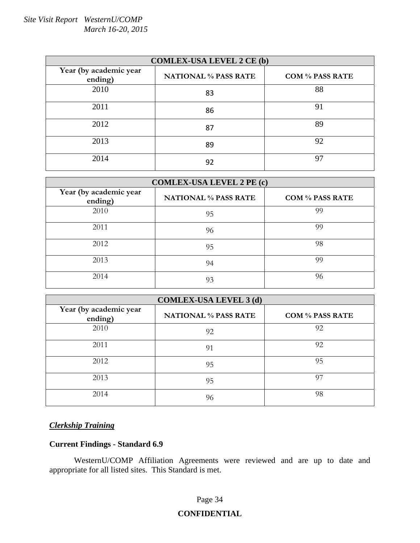| <b>COMLEX-USA LEVEL 2 CE (b)</b>  |                             |                        |  |  |
|-----------------------------------|-----------------------------|------------------------|--|--|
| Year (by academic year<br>ending) | <b>NATIONAL % PASS RATE</b> | <b>COM % PASS RATE</b> |  |  |
| 2010                              | 83                          | 88                     |  |  |
| 2011                              | 86                          | 91                     |  |  |
| 2012                              | 87                          | 89                     |  |  |
| 2013                              | 89                          | 92                     |  |  |
| 2014                              | 92                          | 97                     |  |  |

| <b>COMLEX-USA LEVEL 2 PE (c)</b>  |                             |                        |  |  |
|-----------------------------------|-----------------------------|------------------------|--|--|
| Year (by academic year<br>ending) | <b>NATIONAL % PASS RATE</b> | <b>COM % PASS RATE</b> |  |  |
| 2010                              | 95                          | 99                     |  |  |
| 2011                              | 96                          | 99                     |  |  |
| 2012                              | 95                          | 98                     |  |  |
| 2013                              | 94                          | 99                     |  |  |
| 2014                              | 93                          | 96                     |  |  |

| <b>COMLEX-USA LEVEL 3 (d)</b>     |                             |                        |  |  |
|-----------------------------------|-----------------------------|------------------------|--|--|
| Year (by academic year<br>ending) | <b>NATIONAL % PASS RATE</b> | <b>COM % PASS RATE</b> |  |  |
| 2010                              | 92                          | 92                     |  |  |
| 2011                              | 91                          | 92                     |  |  |
| 2012                              | 95                          | 95                     |  |  |
| 2013                              | 95                          | 97                     |  |  |
| 2014                              | 96                          | 98                     |  |  |

#### *Clerkship Training*

#### **Current Findings - Standard 6.9**

 WesternU/COMP Affiliation Agreements were reviewed and are up to date and appropriate for all listed sites. This Standard is met.

#### Page 34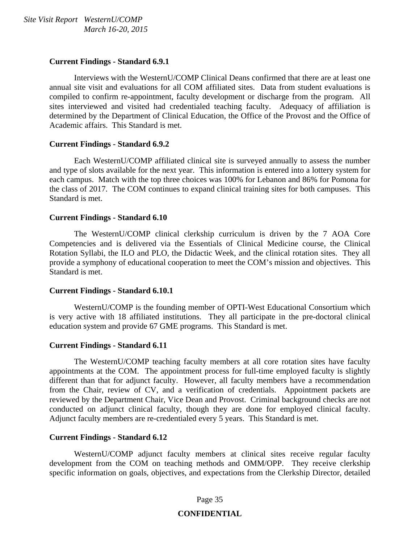#### **Current Findings - Standard 6.9.1**

 Interviews with the WesternU/COMP Clinical Deans confirmed that there are at least one annual site visit and evaluations for all COM affiliated sites. Data from student evaluations is compiled to confirm re-appointment, faculty development or discharge from the program. All sites interviewed and visited had credentialed teaching faculty. Adequacy of affiliation is determined by the Department of Clinical Education, the Office of the Provost and the Office of Academic affairs. This Standard is met.

#### **Current Findings - Standard 6.9.2**

 Each WesternU/COMP affiliated clinical site is surveyed annually to assess the number and type of slots available for the next year. This information is entered into a lottery system for each campus. Match with the top three choices was 100% for Lebanon and 86% for Pomona for the class of 2017. The COM continues to expand clinical training sites for both campuses. This Standard is met.

#### **Current Findings - Standard 6.10**

 The WesternU/COMP clinical clerkship curriculum is driven by the 7 AOA Core Competencies and is delivered via the Essentials of Clinical Medicine course, the Clinical Rotation Syllabi, the ILO and PLO, the Didactic Week, and the clinical rotation sites. They all provide a symphony of educational cooperation to meet the COM's mission and objectives. This Standard is met.

#### **Current Findings - Standard 6.10.1**

 WesternU/COMP is the founding member of OPTI-West Educational Consortium which is very active with 18 affiliated institutions. They all participate in the pre-doctoral clinical education system and provide 67 GME programs. This Standard is met.

#### **Current Findings - Standard 6.11**

 The WesternU/COMP teaching faculty members at all core rotation sites have faculty appointments at the COM. The appointment process for full-time employed faculty is slightly different than that for adjunct faculty. However, all faculty members have a recommendation from the Chair, review of CV, and a verification of credentials. Appointment packets are reviewed by the Department Chair, Vice Dean and Provost. Criminal background checks are not conducted on adjunct clinical faculty, though they are done for employed clinical faculty. Adjunct faculty members are re-credentialed every 5 years. This Standard is met.

#### **Current Findings - Standard 6.12**

 WesternU/COMP adjunct faculty members at clinical sites receive regular faculty development from the COM on teaching methods and OMM/OPP. They receive clerkship specific information on goals, objectives, and expectations from the Clerkship Director, detailed

#### Page 35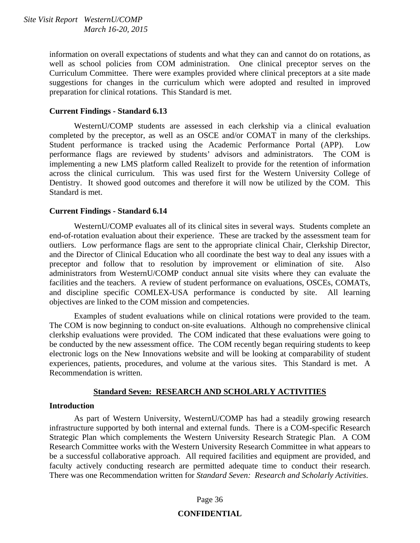information on overall expectations of students and what they can and cannot do on rotations, as well as school policies from COM administration. One clinical preceptor serves on the Curriculum Committee. There were examples provided where clinical preceptors at a site made suggestions for changes in the curriculum which were adopted and resulted in improved preparation for clinical rotations. This Standard is met.

#### **Current Findings - Standard 6.13**

 WesternU/COMP students are assessed in each clerkship via a clinical evaluation completed by the preceptor, as well as an OSCE and/or COMAT in many of the clerkships. Student performance is tracked using the Academic Performance Portal (APP). Low performance flags are reviewed by students' advisors and administrators. The COM is implementing a new LMS platform called RealizeIt to provide for the retention of information across the clinical curriculum. This was used first for the Western University College of Dentistry. It showed good outcomes and therefore it will now be utilized by the COM. This Standard is met.

#### **Current Findings - Standard 6.14**

 WesternU/COMP evaluates all of its clinical sites in several ways. Students complete an end-of-rotation evaluation about their experience. These are tracked by the assessment team for outliers. Low performance flags are sent to the appropriate clinical Chair, Clerkship Director, and the Director of Clinical Education who all coordinate the best way to deal any issues with a preceptor and follow that to resolution by improvement or elimination of site. Also administrators from WesternU/COMP conduct annual site visits where they can evaluate the facilities and the teachers. A review of student performance on evaluations, OSCEs, COMATs, and discipline specific COMLEX-USA performance is conducted by site. All learning objectives are linked to the COM mission and competencies.

 Examples of student evaluations while on clinical rotations were provided to the team. The COM is now beginning to conduct on-site evaluations. Although no comprehensive clinical clerkship evaluations were provided. The COM indicated that these evaluations were going to be conducted by the new assessment office. The COM recently began requiring students to keep electronic logs on the New Innovations website and will be looking at comparability of student experiences, patients, procedures, and volume at the various sites. This Standard is met. A Recommendation is written.

#### **Standard Seven: RESEARCH AND SCHOLARLY ACTIVITIES**

#### **Introduction**

 As part of Western University, WesternU/COMP has had a steadily growing research infrastructure supported by both internal and external funds. There is a COM-specific Research Strategic Plan which complements the Western University Research Strategic Plan. A COM Research Committee works with the Western University Research Committee in what appears to be a successful collaborative approach. All required facilities and equipment are provided, and faculty actively conducting research are permitted adequate time to conduct their research. There was one Recommendation written for *Standard Seven: Research and Scholarly Activities*.

#### Page 36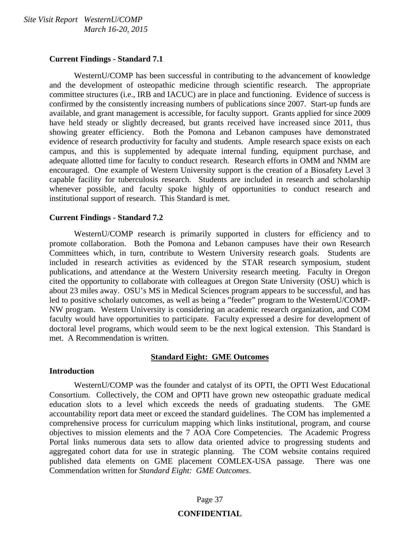#### **Current Findings - Standard 7.1**

 WesternU/COMP has been successful in contributing to the advancement of knowledge and the development of osteopathic medicine through scientific research. The appropriate committee structures (i.e., IRB and IACUC) are in place and functioning. Evidence of success is confirmed by the consistently increasing numbers of publications since 2007. Start-up funds are available, and grant management is accessible, for faculty support. Grants applied for since 2009 have held steady or slightly decreased, but grants received have increased since 2011, thus showing greater efficiency. Both the Pomona and Lebanon campuses have demonstrated evidence of research productivity for faculty and students. Ample research space exists on each campus, and this is supplemented by adequate internal funding, equipment purchase, and adequate allotted time for faculty to conduct research. Research efforts in OMM and NMM are encouraged. One example of Western University support is the creation of a Biosafety Level 3 capable facility for tuberculosis research. Students are included in research and scholarship whenever possible, and faculty spoke highly of opportunities to conduct research and institutional support of research. This Standard is met.

#### **Current Findings - Standard 7.2**

 WesternU/COMP research is primarily supported in clusters for efficiency and to promote collaboration. Both the Pomona and Lebanon campuses have their own Research Committees which, in turn, contribute to Western University research goals. Students are included in research activities as evidenced by the STAR research symposium, student publications, and attendance at the Western University research meeting. Faculty in Oregon cited the opportunity to collaborate with colleagues at Oregon State University (OSU) which is about 23 miles away. OSU's MS in Medical Sciences program appears to be successful, and has led to positive scholarly outcomes, as well as being a "feeder" program to the WesternU/COMP-NW program. Western University is considering an academic research organization, and COM faculty would have opportunities to participate. Faculty expressed a desire for development of doctoral level programs, which would seem to be the next logical extension. This Standard is met. A Recommendation is written.

#### **Standard Eight: GME Outcomes**

#### **Introduction**

 WesternU/COMP was the founder and catalyst of its OPTI, the OPTI West Educational Consortium. Collectively, the COM and OPTI have grown new osteopathic graduate medical education slots to a level which exceeds the needs of graduating students. The GME accountability report data meet or exceed the standard guidelines. The COM has implemented a comprehensive process for curriculum mapping which links institutional, program, and course objectives to mission elements and the 7 AOA Core Competencies. The Academic Progress Portal links numerous data sets to allow data oriented advice to progressing students and aggregated cohort data for use in strategic planning. The COM website contains required published data elements on GME placement COMLEX-USA passage. There was one Commendation written for *Standard Eight: GME Outcomes*.

#### Page 37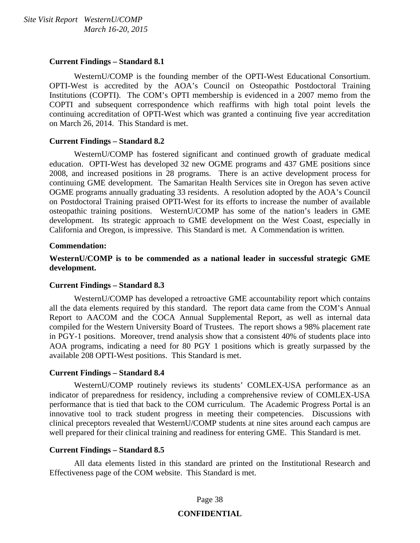#### **Current Findings – Standard 8.1**

 WesternU/COMP is the founding member of the OPTI-West Educational Consortium. OPTI-West is accredited by the AOA's Council on Osteopathic Postdoctoral Training Institutions (COPTI). The COM's OPTI membership is evidenced in a 2007 memo from the COPTI and subsequent correspondence which reaffirms with high total point levels the continuing accreditation of OPTI-West which was granted a continuing five year accreditation on March 26, 2014. This Standard is met.

#### **Current Findings – Standard 8.2**

 WesternU/COMP has fostered significant and continued growth of graduate medical education. OPTI-West has developed 32 new OGME programs and 437 GME positions since 2008, and increased positions in 28 programs. There is an active development process for continuing GME development. The Samaritan Health Services site in Oregon has seven active OGME programs annually graduating 33 residents. A resolution adopted by the AOA's Council on Postdoctoral Training praised OPTI-West for its efforts to increase the number of available osteopathic training positions. WesternU/COMP has some of the nation's leaders in GME development. Its strategic approach to GME development on the West Coast, especially in California and Oregon, is impressive. This Standard is met. A Commendation is written.

#### **Commendation:**

**WesternU/COMP is to be commended as a national leader in successful strategic GME development.** 

#### **Current Findings – Standard 8.3**

 WesternU/COMP has developed a retroactive GME accountability report which contains all the data elements required by this standard. The report data came from the COM's Annual Report to AACOM and the COCA Annual Supplemental Report, as well as internal data compiled for the Western University Board of Trustees. The report shows a 98% placement rate in PGY-1 positions. Moreover, trend analysis show that a consistent 40% of students place into AOA programs, indicating a need for 80 PGY 1 positions which is greatly surpassed by the available 208 OPTI-West positions. This Standard is met.

#### **Current Findings – Standard 8.4**

 WesternU/COMP routinely reviews its students' COMLEX-USA performance as an indicator of preparedness for residency, including a comprehensive review of COMLEX-USA performance that is tied that back to the COM curriculum. The Academic Progress Portal is an innovative tool to track student progress in meeting their competencies. Discussions with clinical preceptors revealed that WesternU/COMP students at nine sites around each campus are well prepared for their clinical training and readiness for entering GME. This Standard is met.

#### **Current Findings – Standard 8.5**

 All data elements listed in this standard are printed on the Institutional Research and Effectiveness page of the COM website. This Standard is met.

#### Page 38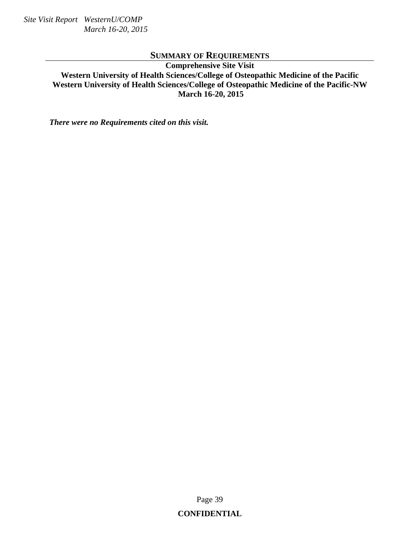#### **SUMMARY OF REQUIREMENTS**

**Comprehensive Site Visit Western University of Health Sciences/College of Osteopathic Medicine of the Pacific Western University of Health Sciences/College of Osteopathic Medicine of the Pacific-NW March 16-20, 2015** 

*There were no Requirements cited on this visit.* 

Page 39 **CONFIDENTIAL**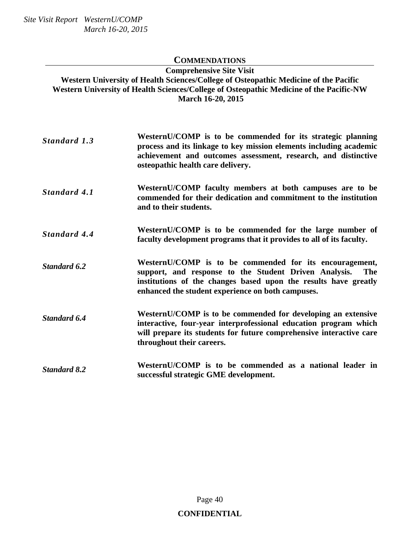#### **COMMENDATIONS**

**Comprehensive Site Visit Western University of Health Sciences/College of Osteopathic Medicine of the Pacific Western University of Health Sciences/College of Osteopathic Medicine of the Pacific-NW March 16-20, 2015** 

| Standard 1.3 | WesternU/COMP is to be commended for its strategic planning        |
|--------------|--------------------------------------------------------------------|
|              | process and its linkage to key mission elements including academic |
|              | achievement and outcomes assessment, research, and distinctive     |
|              | osteopathic health care delivery.                                  |
|              |                                                                    |
|              |                                                                    |

- *Standard 4.1* **WesternU/COMP faculty members at both campuses are to be commended for their dedication and commitment to the institution and to their students.**
- *Standard 4.4* **WesternU/COMP is to be commended for the large number of faculty development programs that it provides to all of its faculty.**
- *Standard 6.2* **WesternU/COMP** is to be commended for its encouragement, support, and response to the Student Driven Analysis. The support, and response to the Student Driven Analysis. **institutions of the changes based upon the results have greatly enhanced the student experience on both campuses.**
- *Standard 6.4* **WesternU/COMP is to be commended for developing an extensive interactive, four-year interprofessional education program which will prepare its students for future comprehensive interactive care throughout their careers.**
- *Standard 8.2* **WesternU/COMP is to be commended as a national leader in successful strategic GME development.**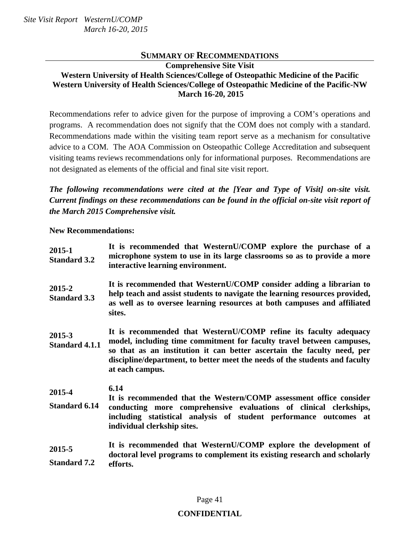#### **SUMMARY OF RECOMMENDATIONS**

**Comprehensive Site Visit Western University of Health Sciences/College of Osteopathic Medicine of the Pacific Western University of Health Sciences/College of Osteopathic Medicine of the Pacific-NW March 16-20, 2015** 

Recommendations refer to advice given for the purpose of improving a COM's operations and programs. A recommendation does not signify that the COM does not comply with a standard. Recommendations made within the visiting team report serve as a mechanism for consultative advice to a COM. The AOA Commission on Osteopathic College Accreditation and subsequent visiting teams reviews recommendations only for informational purposes. Recommendations are not designated as elements of the official and final site visit report.

*The following recommendations were cited at the [Year and Type of Visit] on-site visit. Current findings on these recommendations can be found in the official on-site visit report of the March 2015 Comprehensive visit.* 

**New Recommendations:** 

| 2015-1<br><b>Standard 3.2</b>   | It is recommended that WesternU/COMP explore the purchase of a<br>microphone system to use in its large classrooms so as to provide a more<br>interactive learning environment.                                                                                                                                        |
|---------------------------------|------------------------------------------------------------------------------------------------------------------------------------------------------------------------------------------------------------------------------------------------------------------------------------------------------------------------|
| 2015-2<br><b>Standard 3.3</b>   | It is recommended that WesternU/COMP consider adding a librarian to<br>help teach and assist students to navigate the learning resources provided,<br>as well as to oversee learning resources at both campuses and affiliated<br>sites.                                                                               |
| 2015-3<br><b>Standard 4.1.1</b> | It is recommended that WesternU/COMP refine its faculty adequacy<br>model, including time commitment for faculty travel between campuses,<br>so that as an institution it can better ascertain the faculty need, per<br>discipline/department, to better meet the needs of the students and faculty<br>at each campus. |
| 2015-4<br><b>Standard 6.14</b>  | 6.14<br>It is recommended that the Western/COMP assessment office consider<br>conducting more comprehensive evaluations of clinical clerkships,<br>including statistical analysis of student performance outcomes at<br>individual clerkship sites.                                                                    |
| 2015-5<br><b>Standard 7.2</b>   | It is recommended that WesternU/COMP explore the development of<br>doctoral level programs to complement its existing research and scholarly<br>efforts.                                                                                                                                                               |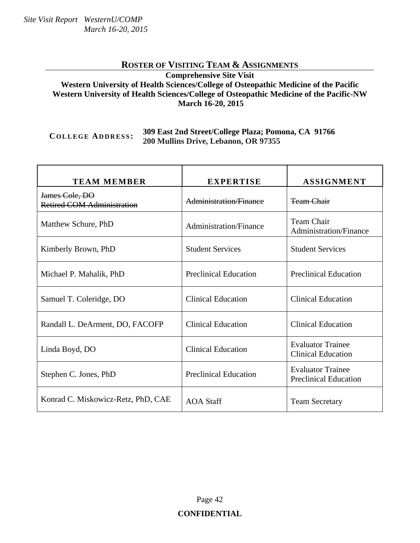## **ROSTER OF VISITING TEAM & ASSIGNMENTS**

#### **Comprehensive Site Visit Western University of Health Sciences/College of Osteopathic Medicine of the Pacific Western University of Health Sciences/College of Osteopathic Medicine of the Pacific-NW March 16-20, 2015**

#### **COLLEGE ADDRESS : 309 East 2nd Street/College Plaza; Pomona, CA 91766 200 Mullins Drive, Lebanon, OR 97355**

| <b>TEAM MEMBER</b>                                  | <b>EXPERTISE</b>              | <b>ASSIGNMENT</b>                                        |
|-----------------------------------------------------|-------------------------------|----------------------------------------------------------|
| James Cole, DO<br><b>Retired COM Administration</b> | Administration/Finance        | <b>Team Chair</b>                                        |
| Matthew Schure, PhD                                 | <b>Administration/Finance</b> | Team Chair<br><b>Administration/Finance</b>              |
| Kimberly Brown, PhD                                 | <b>Student Services</b>       | <b>Student Services</b>                                  |
| Michael P. Mahalik, PhD                             | <b>Preclinical Education</b>  | <b>Preclinical Education</b>                             |
| Samuel T. Coleridge, DO                             | <b>Clinical Education</b>     | <b>Clinical Education</b>                                |
| Randall L. DeArment, DO, FACOFP                     | <b>Clinical Education</b>     | <b>Clinical Education</b>                                |
| Linda Boyd, DO                                      | <b>Clinical Education</b>     | <b>Evaluator Trainee</b><br><b>Clinical Education</b>    |
| Stephen C. Jones, PhD                               | <b>Preclinical Education</b>  | <b>Evaluator Trainee</b><br><b>Preclinical Education</b> |
| Konrad C. Miskowicz-Retz, PhD, CAE                  | <b>AOA Staff</b>              | <b>Team Secretary</b>                                    |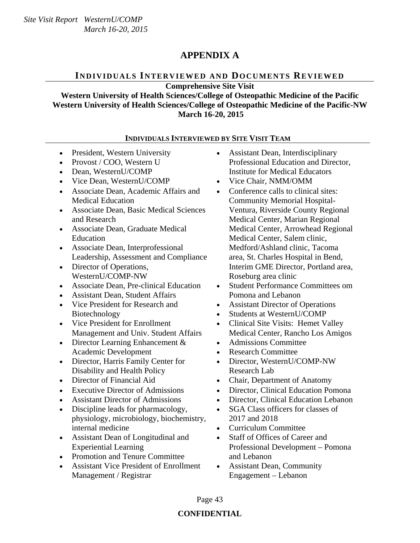## **APPENDIX A**

## **INDIVIDUALS INTERVIEWED AND DOCUMENTS REVIEWED**

**Comprehensive Site Visit** 

**Western University of Health Sciences/College of Osteopathic Medicine of the Pacific Western University of Health Sciences/College of Osteopathic Medicine of the Pacific-NW March 16-20, 2015** 

#### **INDIVIDUALS INTERVIEWED BY SITE VISIT TEAM**

- President, Western University
- Provost / COO, Western U
- Dean, WesternU/COMP
- Vice Dean, WesternU/COMP Vice Chair, NMM/OMM
- Associate Dean, Academic Affairs and Medical Education
- Associate Dean, Basic Medical Sciences and Research
- Associate Dean, Graduate Medical Education
- Associate Dean, Interprofessional Leadership, Assessment and Compliance
- Director of Operations, WesternU/COMP-NW
- Associate Dean, Pre-clinical Education
- Assistant Dean, Student Affairs
- Vice President for Research and Biotechnology
- Vice President for Enrollment Management and Univ. Student Affairs
- Director Learning Enhancement & Academic Development
- Director, Harris Family Center for Disability and Health Policy
- 
- Executive Director of Admissions
- Assistant Director of Admissions
- Discipline leads for pharmacology, physiology, microbiology, biochemistry, internal medicine
- Assistant Dean of Longitudinal and Experiential Learning
- Promotion and Tenure Committee
- Assistant Vice President of Enrollment Management / Registrar
- Assistant Dean, Interdisciplinary Professional Education and Director, Institute for Medical Educators
- 
- Conference calls to clinical sites: Community Memorial Hospital-Ventura, Riverside County Regional Medical Center, Marian Regional Medical Center, Arrowhead Regional Medical Center, Salem clinic, Medford/Ashland clinic, Tacoma area, St. Charles Hospital in Bend, Interim GME Director, Portland area, Roseburg area clinic
- Student Performance Committees om Pomona and Lebanon
- Assistant Director of Operations
- Students at WesternU/COMP
- Clinical Site Visits: Hemet Valley Medical Center, Rancho Los Amigos
- Admissions Committee
- Research Committee
- Director, WesternU/COMP-NW Research Lab
- Director of Financial Aid Chair, Department of Anatomy
	- Director, Clinical Education Pomona
	- Director, Clinical Education Lebanon
	- SGA Class officers for classes of 2017 and 2018
	- Curriculum Committee
	- Staff of Offices of Career and Professional Development – Pomona and Lebanon
	- Assistant Dean, Community Engagement – Lebanon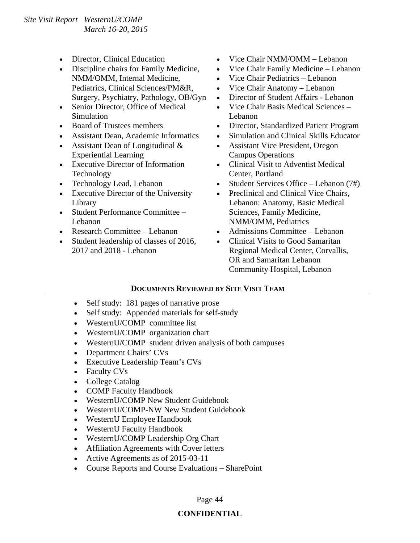- 
- Discipline chairs for Family Medicine. NMM/OMM, Internal Medicine, Pediatrics, Clinical Sciences/PM&R, Surgery, Psychiatry, Pathology, OB/Gyn
- Senior Director, Office of Medical Simulation
- 
- 
- Assistant Dean of Longitudinal & Experiential Learning
- Executive Director of Information Technology
- 
- Executive Director of the University Library
- Student Performance Committee Lebanon
- 
- Student leadership of classes of 2016, 2017 and 2018 - Lebanon
- Director, Clinical Education Vice Chair NMM/OMM Lebanon
	- Vice Chair Family Medicine Lebanon
	- Vice Chair Pediatrics Lebanon
	- Vice Chair Anatomy Lebanon
	- Director of Student Affairs Lebanon
	- Vice Chair Basis Medical Sciences Lebanon
- Board of Trustees members Director, Standardized Patient Program
	- Assistant Dean, Academic Informatics Simulation and Clinical Skills Educator
		- Assistant Vice President, Oregon Campus Operations
		- Clinical Visit to Adventist Medical Center, Portland
	- Technology Lead, Lebanon Student Services Office Lebanon (7#)
		- Preclinical and Clinical Vice Chairs, Lebanon: Anatomy, Basic Medical Sciences, Family Medicine, NMM/OMM, Pediatrics
	- Research Committee Lebanon Admissions Committee Lebanon
		- Clinical Visits to Good Samaritan Regional Medical Center, Corvallis, OR and Samaritan Lebanon Community Hospital, Lebanon

#### **DOCUMENTS REVIEWED BY SITE VISIT TEAM**

- Self study: 181 pages of narrative prose
- Self study: Appended materials for self-study
- WesternU/COMP committee list
- WesternU/COMP organization chart
- WesternU/COMP student driven analysis of both campuses
- Department Chairs' CVs
- Executive Leadership Team's CVs
- Faculty CVs
- College Catalog
- COMP Faculty Handbook
- WesternU/COMP New Student Guidebook
- WesternU/COMP-NW New Student Guidebook
- WesternU Employee Handbook
- WesternU Faculty Handbook
- WesternU/COMP Leadership Org Chart
- Affiliation Agreements with Cover letters
- Active Agreements as of 2015-03-11
- Course Reports and Course Evaluations SharePoint

Page 44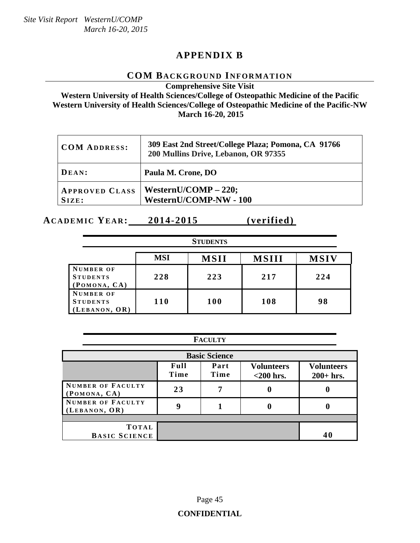## **APPENDIX B**

#### **COM BACKGROUND INFORMATION**

**Comprehensive Site Visit** 

**Western University of Health Sciences/College of Osteopathic Medicine of the Pacific Western University of Health Sciences/College of Osteopathic Medicine of the Pacific-NW March 16-20, 2015** 

| <b>COM ADDRESS:</b>            | 309 East 2nd Street/College Plaza; Pomona, CA 91766<br>200 Mullins Drive, Lebanon, OR 97355 |
|--------------------------------|---------------------------------------------------------------------------------------------|
| DEAN:                          | Paula M. Crone, DO                                                                          |
| <b>APPROVED CLASS</b><br>SIZE: | WesternU/COMP $- 220$ ;<br>WesternU/COMP-NW - 100                                           |

**ACADEMIC YEAR: 2014-2015 (verified)** 

| <b>STUDENTS</b>                                      |            |             |              |             |  |
|------------------------------------------------------|------------|-------------|--------------|-------------|--|
|                                                      | <b>MSI</b> | <b>MSII</b> | <b>MSIII</b> | <b>MSIV</b> |  |
| NUMBER OF<br><b>STUDENTS</b><br>(POMONA, CA)         | 228        | 223         | 217          | 224         |  |
| <b>NUMBER OF</b><br><b>STUDENTS</b><br>(LEBANON, OR) | 110        | 100         | 108          | 98          |  |

| <b>FACULTY</b>                                                                                        |    |   |   |  |  |
|-------------------------------------------------------------------------------------------------------|----|---|---|--|--|
| <b>Basic Science</b>                                                                                  |    |   |   |  |  |
| Full<br>Part<br><b>Volunteers</b><br><b>Volunteers</b><br>Time<br>Time<br>$<$ 200 hrs.<br>$200+$ hrs. |    |   |   |  |  |
| NUMBER OF FACULTY<br>(POMONA, CA)                                                                     | 23 | 7 | 0 |  |  |
| NUMBER OF FACULTY<br>(LEBANON, OR)                                                                    | Q  |   |   |  |  |
|                                                                                                       |    |   |   |  |  |
| TOTAL<br><b>BASIC SCIENCE</b>                                                                         |    |   |   |  |  |
|                                                                                                       |    |   |   |  |  |